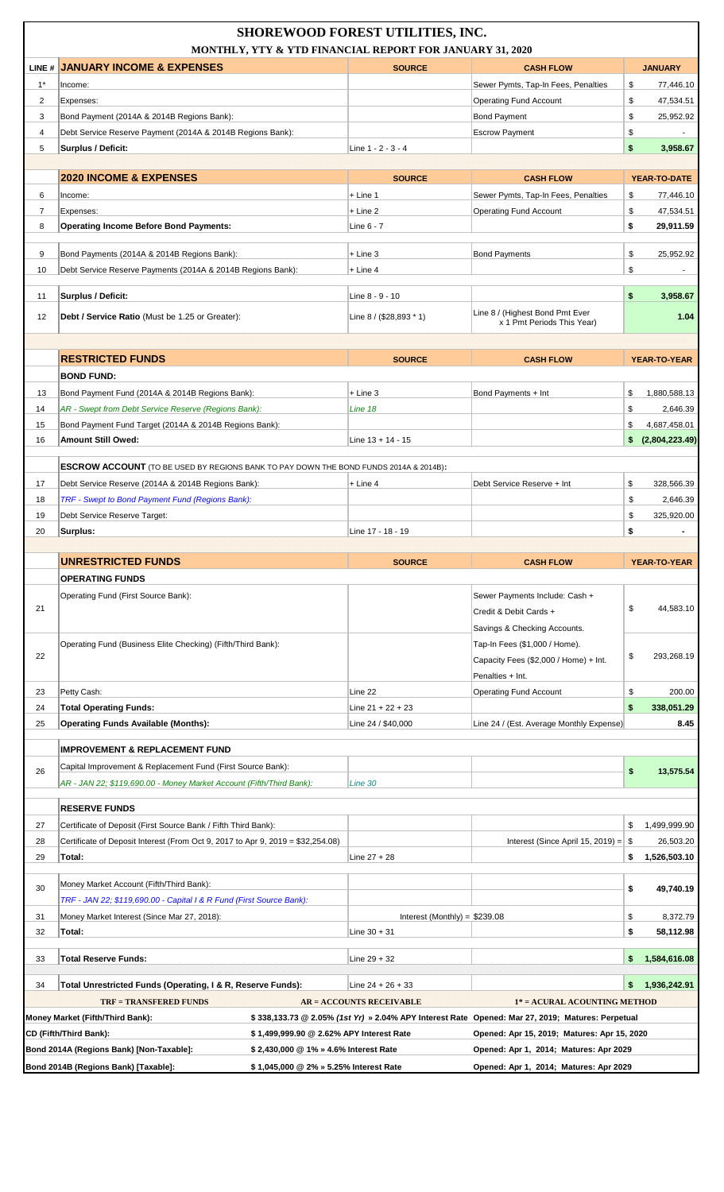|                | <b>SHOREWOOD FOREST UTILITIES, INC.</b><br>MONTHLY, YTY & YTD FINANCIAL REPORT FOR JANUARY 31, 2020         |                                 |                                                                                                                                                 |                          |  |  |
|----------------|-------------------------------------------------------------------------------------------------------------|---------------------------------|-------------------------------------------------------------------------------------------------------------------------------------------------|--------------------------|--|--|
|                | LINE # JANUARY INCOME & EXPENSES                                                                            | <b>SOURCE</b>                   | <b>CASH FLOW</b>                                                                                                                                | <b>JANUARY</b>           |  |  |
| $1*$           | Income:                                                                                                     |                                 | Sewer Pymts, Tap-In Fees, Penalties                                                                                                             | \$<br>77,446.10          |  |  |
| 2              | Expenses:                                                                                                   |                                 | <b>Operating Fund Account</b>                                                                                                                   | \$<br>47,534.51          |  |  |
| 3              | Bond Payment (2014A & 2014B Regions Bank):                                                                  |                                 | <b>Bond Payment</b>                                                                                                                             | \$<br>25,952.92          |  |  |
| 4              | Debt Service Reserve Payment (2014A & 2014B Regions Bank):                                                  |                                 | <b>Escrow Payment</b>                                                                                                                           | \$                       |  |  |
| 5              | Surplus / Deficit:                                                                                          | Line 1 - 2 - 3 - 4              |                                                                                                                                                 | \$<br>3,958.67           |  |  |
|                | <b>2020 INCOME &amp; EXPENSES</b>                                                                           | <b>SOURCE</b>                   | <b>CASH FLOW</b>                                                                                                                                | YEAR-TO-DATE             |  |  |
| 6              | Income:                                                                                                     | $+$ Line 1                      | Sewer Pymts, Tap-In Fees, Penalties                                                                                                             | \$<br>77,446.10          |  |  |
| $\overline{7}$ | Expenses:                                                                                                   | $+$ Line 2                      | <b>Operating Fund Account</b>                                                                                                                   | \$<br>47,534.51          |  |  |
| 8              | <b>Operating Income Before Bond Payments:</b>                                                               | Line 6 - 7                      |                                                                                                                                                 | \$<br>29,911.59          |  |  |
| 9              | Bond Payments (2014A & 2014B Regions Bank):                                                                 | $+$ Line 3                      | <b>Bond Payments</b>                                                                                                                            | \$<br>25.952.92          |  |  |
| 10             | Debt Service Reserve Payments (2014A & 2014B Regions Bank):                                                 | $+$ Line 4                      |                                                                                                                                                 | \$                       |  |  |
|                |                                                                                                             |                                 |                                                                                                                                                 |                          |  |  |
| 11             | Surplus / Deficit:                                                                                          | Line 8 - 9 - 10                 |                                                                                                                                                 | \$<br>3,958.67           |  |  |
| 12             | Debt / Service Ratio (Must be 1.25 or Greater):                                                             | Line $8 / (28,893 * 1)$         | Line 8 / (Highest Bond Pmt Ever<br>x 1 Pmt Periods This Year)                                                                                   | 1.04                     |  |  |
|                |                                                                                                             |                                 |                                                                                                                                                 |                          |  |  |
|                | <b>RESTRICTED FUNDS</b>                                                                                     | <b>SOURCE</b>                   | <b>CASH FLOW</b>                                                                                                                                | YEAR-TO-YEAR             |  |  |
|                | <b>BOND FUND:</b>                                                                                           |                                 |                                                                                                                                                 |                          |  |  |
| 13             | Bond Payment Fund (2014A & 2014B Regions Bank):                                                             | $+$ Line 3                      | Bond Payments + Int                                                                                                                             | \$<br>1,880,588.13       |  |  |
| 14             | AR - Swept from Debt Service Reserve (Regions Bank):                                                        | Line 18                         |                                                                                                                                                 | \$<br>2,646.39           |  |  |
| 15             | Bond Payment Fund Target (2014A & 2014B Regions Bank):                                                      |                                 |                                                                                                                                                 | 4,687,458.01<br>\$       |  |  |
| 16             | Amount Still Owed:                                                                                          | Line $13 + 14 - 15$             |                                                                                                                                                 | \$ (2,804,223.49)        |  |  |
|                | <b>ESCROW ACCOUNT</b> (TO BE USED BY REGIONS BANK TO PAY DOWN THE BOND FUNDS 2014A & 2014B):                |                                 |                                                                                                                                                 |                          |  |  |
| 17             | Debt Service Reserve (2014A & 2014B Regions Bank):                                                          | $+$ Line 4                      | Debt Service Reserve + Int                                                                                                                      | \$<br>328.566.39         |  |  |
| 18             | TRF - Swept to Bond Payment Fund (Regions Bank):                                                            |                                 |                                                                                                                                                 | \$<br>2,646.39           |  |  |
|                | Debt Service Reserve Target:                                                                                |                                 |                                                                                                                                                 | \$<br>325,920.00         |  |  |
| 19             |                                                                                                             |                                 |                                                                                                                                                 |                          |  |  |
| 20             | Surplus:                                                                                                    | Line 17 - 18 - 19               |                                                                                                                                                 | \$                       |  |  |
|                |                                                                                                             |                                 |                                                                                                                                                 |                          |  |  |
|                | UNRESTRICTED FUNDS                                                                                          | <b>SOURCE</b>                   | <b>CASH FLOW</b>                                                                                                                                | YEAR-TO-YEAR             |  |  |
|                | <b>OPERATING FUNDS</b>                                                                                      |                                 |                                                                                                                                                 |                          |  |  |
|                | Operating Fund (First Source Bank):                                                                         |                                 | Sewer Payments Include: Cash +                                                                                                                  |                          |  |  |
| 21             |                                                                                                             |                                 | Credit & Debit Cards +                                                                                                                          | \$<br>44,583.10          |  |  |
|                |                                                                                                             |                                 | Savings & Checking Accounts.                                                                                                                    |                          |  |  |
|                | Operating Fund (Business Elite Checking) (Fifth/Third Bank):                                                |                                 | Tap-In Fees (\$1,000 / Home).                                                                                                                   |                          |  |  |
| 22             |                                                                                                             |                                 | Capacity Fees (\$2,000 / Home) + Int.                                                                                                           | \$<br>293,268.19         |  |  |
|                |                                                                                                             |                                 | Penalties + Int.                                                                                                                                |                          |  |  |
| 23             | Petty Cash:                                                                                                 | Line 22                         | <b>Operating Fund Account</b>                                                                                                                   | \$<br>200.00             |  |  |
| 24             | <b>Total Operating Funds:</b>                                                                               | Line $21 + 22 + 23$             |                                                                                                                                                 | \$<br>338,051.29<br>8.45 |  |  |
| 25             | <b>Operating Funds Available (Months):</b>                                                                  | Line 24 / \$40,000              | Line 24 / (Est. Average Monthly Expense)                                                                                                        |                          |  |  |
|                | <b>IMPROVEMENT &amp; REPLACEMENT FUND</b>                                                                   |                                 |                                                                                                                                                 |                          |  |  |
| 26             | Capital Improvement & Replacement Fund (First Source Bank):                                                 |                                 |                                                                                                                                                 | \$<br>13,575.54          |  |  |
|                | AR - JAN 22; \$119,690.00 - Money Market Account (Fifth/Third Bank):                                        | Line 30                         |                                                                                                                                                 |                          |  |  |
|                | <b>RESERVE FUNDS</b>                                                                                        |                                 |                                                                                                                                                 |                          |  |  |
| 27             | Certificate of Deposit (First Source Bank / Fifth Third Bank):                                              |                                 |                                                                                                                                                 | 1,499,999.90<br>\$       |  |  |
| 28             | Certificate of Deposit Interest (From Oct 9, 2017 to Apr 9, 2019 = $$32,254.08$ )                           |                                 | Interest (Since April 15, 2019) = $\$\$                                                                                                         | 26,503.20                |  |  |
| 29             | Total:                                                                                                      | Line $27 + 28$                  |                                                                                                                                                 | \$<br>1,526,503.10       |  |  |
|                |                                                                                                             |                                 |                                                                                                                                                 |                          |  |  |
| 30             | Money Market Account (Fifth/Third Bank):                                                                    |                                 |                                                                                                                                                 | \$<br>49,740.19          |  |  |
|                | TRF - JAN 22; \$119,690.00 - Capital I & R Fund (First Source Bank):                                        |                                 |                                                                                                                                                 |                          |  |  |
| 31             | Money Market Interest (Since Mar 27, 2018):                                                                 | Interest (Monthly) = $$239.08$  |                                                                                                                                                 | \$<br>8,372.79<br>\$     |  |  |
| 32             | Total:                                                                                                      | Line $30 + 31$                  |                                                                                                                                                 | 58,112.98                |  |  |
| 33             | <b>Total Reserve Funds:</b>                                                                                 | Line $29 + 32$                  |                                                                                                                                                 | 1,584,616.08<br>\$.      |  |  |
|                |                                                                                                             |                                 |                                                                                                                                                 |                          |  |  |
| 34             | Total Unrestricted Funds (Operating, I & R, Reserve Funds):                                                 | Line 24 + 26 + 33               |                                                                                                                                                 | 1,936,242.91<br>\$       |  |  |
|                | <b>TRF = TRANSFERED FUNDS</b>                                                                               | <b>AR = ACCOUNTS RECEIVABLE</b> | 1* = ACURAL ACOUNTING METHOD                                                                                                                    |                          |  |  |
|                | Money Market (Fifth/Third Bank):<br>\$1,499,999.90 @ 2.62% APY Interest Rate                                |                                 | \$338,133.73 @ 2.05% (1st Yr) » 2.04% APY Interest Rate Opened: Mar 27, 2019; Matures: Perpetual<br>Opened: Apr 15, 2019; Matures: Apr 15, 2020 |                          |  |  |
|                | CD (Fifth/Third Bank):<br>Bond 2014A (Regions Bank) [Non-Taxable]:<br>\$2,430,000 @ 1% » 4.6% Interest Rate |                                 | Opened: Apr 1, 2014; Matures: Apr 2029                                                                                                          |                          |  |  |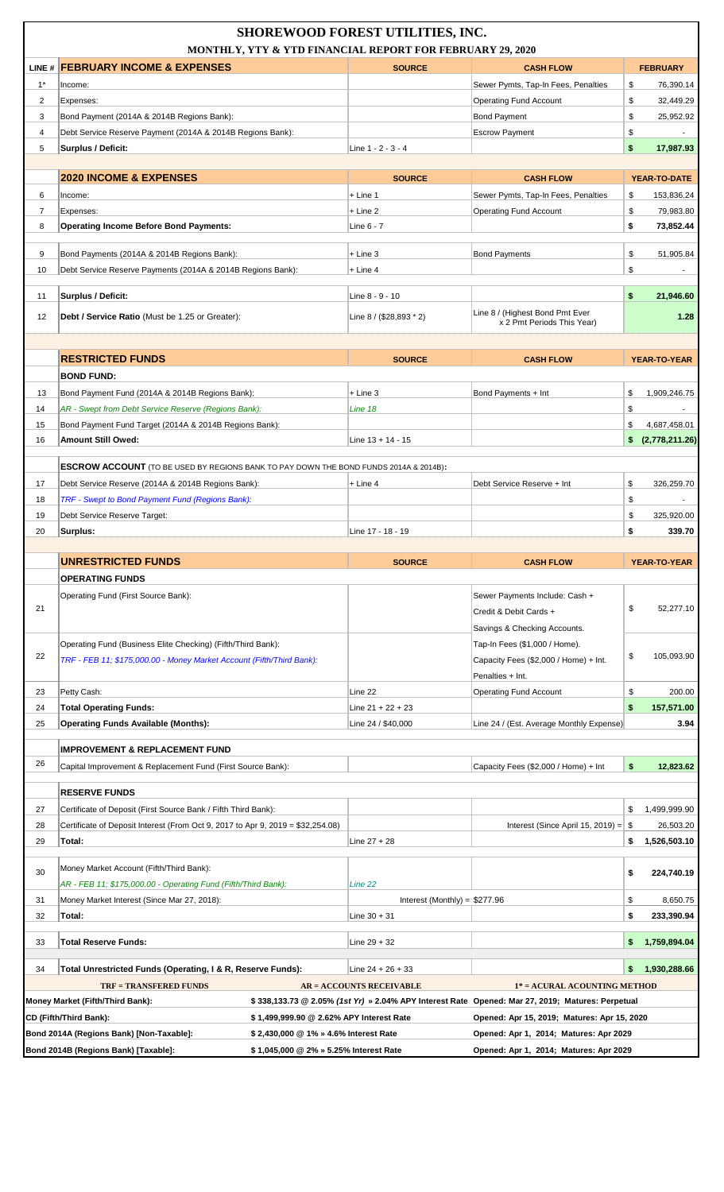|                | <b>SHOREWOOD FOREST UTILITIES, INC.</b><br>MONTHLY, YTY & YTD FINANCIAL REPORT FOR FEBRUARY 29, 2020                      |                                 |                                                                                                  |                          |  |  |
|----------------|---------------------------------------------------------------------------------------------------------------------------|---------------------------------|--------------------------------------------------------------------------------------------------|--------------------------|--|--|
|                | LINE # FEBRUARY INCOME & EXPENSES                                                                                         | <b>SOURCE</b>                   | <b>CASH FLOW</b>                                                                                 | <b>FEBRUARY</b>          |  |  |
| $1^*$          | Income:                                                                                                                   |                                 | Sewer Pymts, Tap-In Fees, Penalties                                                              | \$<br>76,390.14          |  |  |
| 2              | Expenses:                                                                                                                 |                                 | <b>Operating Fund Account</b>                                                                    | \$<br>32,449.29          |  |  |
| 3              | Bond Payment (2014A & 2014B Regions Bank):                                                                                |                                 | <b>Bond Payment</b>                                                                              | \$<br>25,952.92          |  |  |
| 4              | Debt Service Reserve Payment (2014A & 2014B Regions Bank):                                                                |                                 | <b>Escrow Payment</b>                                                                            | \$                       |  |  |
| 5              | <b>Surplus / Deficit:</b>                                                                                                 | Line 1 - 2 - 3 - 4              |                                                                                                  | \$<br>17,987.93          |  |  |
|                |                                                                                                                           |                                 |                                                                                                  |                          |  |  |
|                | <b>2020 INCOME &amp; EXPENSES</b>                                                                                         | <b>SOURCE</b>                   | <b>CASH FLOW</b>                                                                                 | YEAR-TO-DATE             |  |  |
| 6              | Income:                                                                                                                   | + Line 1                        | Sewer Pymts, Tap-In Fees, Penalties                                                              | \$<br>153,836.24         |  |  |
| $\overline{7}$ | Expenses:                                                                                                                 | $+$ Line 2                      | <b>Operating Fund Account</b>                                                                    | 79,983.80<br>\$          |  |  |
| 8              | <b>Operating Income Before Bond Payments:</b>                                                                             | Line $6 - 7$                    |                                                                                                  | \$<br>73,852.44          |  |  |
| 9              | Bond Payments (2014A & 2014B Regions Bank):                                                                               | $+$ Line 3                      | <b>Bond Payments</b>                                                                             | \$<br>51,905.84          |  |  |
| 10             | Debt Service Reserve Payments (2014A & 2014B Regions Bank):                                                               | + Line 4                        |                                                                                                  | \$                       |  |  |
|                |                                                                                                                           |                                 |                                                                                                  |                          |  |  |
| 11             | Surplus / Deficit:                                                                                                        | Line 8 - 9 - 10                 |                                                                                                  | \$<br>21,946.60          |  |  |
| 12             | Debt / Service Ratio (Must be 1.25 or Greater):                                                                           | Line 8 / (\$28,893 * 2)         | Line 8 / (Highest Bond Pmt Ever<br>x 2 Pmt Periods This Year)                                    | 1.28                     |  |  |
|                |                                                                                                                           |                                 |                                                                                                  |                          |  |  |
|                | <b>RESTRICTED FUNDS</b>                                                                                                   |                                 |                                                                                                  |                          |  |  |
|                |                                                                                                                           | <b>SOURCE</b>                   | <b>CASH FLOW</b>                                                                                 | YEAR-TO-YEAR             |  |  |
|                | <b>BOND FUND:</b>                                                                                                         |                                 |                                                                                                  |                          |  |  |
| 13             | Bond Payment Fund (2014A & 2014B Regions Bank):                                                                           | $+$ Line 3                      | Bond Payments + Int                                                                              | \$<br>1,909,246.75       |  |  |
| 14<br>15       | AR - Swept from Debt Service Reserve (Regions Bank):<br>Bond Payment Fund Target (2014A & 2014B Regions Bank):            | Line 18                         |                                                                                                  | \$<br>\$<br>4,687,458.01 |  |  |
| 16             | <b>Amount Still Owed:</b>                                                                                                 | Line $13 + 14 - 15$             |                                                                                                  | \$ (2,778,211.26)        |  |  |
|                |                                                                                                                           |                                 |                                                                                                  |                          |  |  |
|                | <b>ESCROW ACCOUNT</b> (TO BE USED BY REGIONS BANK TO PAY DOWN THE BOND FUNDS 2014A & 2014B):                              |                                 |                                                                                                  |                          |  |  |
| 17             | Debt Service Reserve (2014A & 2014B Regions Bank):                                                                        | + Line 4                        | Debt Service Reserve + Int                                                                       | \$<br>326,259.70         |  |  |
| 18             | TRF - Swept to Bond Payment Fund (Regions Bank):                                                                          |                                 |                                                                                                  | \$                       |  |  |
| 19             | Debt Service Reserve Target:                                                                                              |                                 |                                                                                                  | \$<br>325,920.00         |  |  |
| 20             | Surplus:                                                                                                                  | Line 17 - 18 - 19               |                                                                                                  | \$<br>339.70             |  |  |
|                |                                                                                                                           |                                 |                                                                                                  |                          |  |  |
|                | <b>UNRESTRICTED FUNDS</b>                                                                                                 | <b>SOURCE</b>                   | <b>CASH FLOW</b>                                                                                 |                          |  |  |
|                |                                                                                                                           |                                 |                                                                                                  | YEAR-TO-YEAR             |  |  |
|                | <b>OPERATING FUNDS</b>                                                                                                    |                                 |                                                                                                  |                          |  |  |
|                | Operating Fund (First Source Bank):                                                                                       |                                 | Sewer Payments Include: Cash +                                                                   |                          |  |  |
| 21             |                                                                                                                           |                                 | Credit & Debit Cards +                                                                           | \$<br>52,277.10          |  |  |
|                |                                                                                                                           |                                 | Savings & Checking Accounts.                                                                     |                          |  |  |
| 22             | Operating Fund (Business Elite Checking) (Fifth/Third Bank):                                                              |                                 | Tap-In Fees (\$1,000 / Home).                                                                    | \$<br>105,093.90         |  |  |
|                | TRF - FEB 11; \$175,000.00 - Money Market Account (Fifth/Third Bank):                                                     |                                 | Capacity Fees (\$2,000 / Home) + Int.                                                            |                          |  |  |
|                |                                                                                                                           |                                 | Penalties + Int.                                                                                 |                          |  |  |
| 23             | Petty Cash:                                                                                                               | Line 22                         | <b>Operating Fund Account</b>                                                                    | \$<br>200.00             |  |  |
| 24             | <b>Total Operating Funds:</b>                                                                                             | Line $21 + 22 + 23$             |                                                                                                  | \$<br>157,571.00         |  |  |
| 25             | <b>Operating Funds Available (Months):</b>                                                                                | Line 24 / \$40,000              | Line 24 / (Est. Average Monthly Expense)                                                         | 3.94                     |  |  |
|                | <b>IMPROVEMENT &amp; REPLACEMENT FUND</b>                                                                                 |                                 |                                                                                                  |                          |  |  |
| 26             | Capital Improvement & Replacement Fund (First Source Bank):                                                               |                                 | Capacity Fees (\$2,000 / Home) + Int                                                             | \$<br>12,823.62          |  |  |
|                |                                                                                                                           |                                 |                                                                                                  |                          |  |  |
|                | <b>RESERVE FUNDS</b>                                                                                                      |                                 |                                                                                                  |                          |  |  |
| 27             | Certificate of Deposit (First Source Bank / Fifth Third Bank):                                                            |                                 |                                                                                                  | 1,499,999.90<br>\$       |  |  |
| 28             | Certificate of Deposit Interest (From Oct 9, 2017 to Apr 9, 2019 = $$32,254.08$ )                                         |                                 | Interest (Since April 15, 2019) = $\sqrt{ }$                                                     | 26,503.20                |  |  |
| 29             | Total:                                                                                                                    | Line $27 + 28$                  |                                                                                                  | 1,526,503.10<br>\$       |  |  |
| 30             | Money Market Account (Fifth/Third Bank):                                                                                  |                                 |                                                                                                  | \$<br>224,740.19         |  |  |
|                | AR - FEB 11; \$175,000.00 - Operating Fund (Fifth/Third Bank):                                                            | Line 22                         |                                                                                                  |                          |  |  |
| 31             | Money Market Interest (Since Mar 27, 2018):                                                                               | Interest (Monthly) = $$277.96$  |                                                                                                  | \$<br>8,650.75           |  |  |
| 32             | Total:                                                                                                                    | $Line 30 + 31$                  |                                                                                                  | \$<br>233,390.94         |  |  |
| 33             | <b>Total Reserve Funds:</b>                                                                                               | Line $29 + 32$                  |                                                                                                  | \$.<br>1,759,894.04      |  |  |
|                |                                                                                                                           |                                 |                                                                                                  |                          |  |  |
| 34             | Total Unrestricted Funds (Operating, I & R, Reserve Funds):                                                               | Line $24 + 26 + 33$             |                                                                                                  | 1,930,288.66<br>\$.      |  |  |
|                | <b>TRF = TRANSFERED FUNDS</b>                                                                                             | <b>AR = ACCOUNTS RECEIVABLE</b> | 1* = ACURAL ACOUNTING METHOD                                                                     |                          |  |  |
|                | Money Market (Fifth/Third Bank):                                                                                          |                                 | \$338,133.73 @ 2.05% (1st Yr) » 2.04% APY Interest Rate Opened: Mar 27, 2019; Matures: Perpetual |                          |  |  |
|                | CD (Fifth/Third Bank):<br>\$1,499,999.90 @ 2.62% APY Interest Rate                                                        |                                 | Opened: Apr 15, 2019; Matures: Apr 15, 2020                                                      |                          |  |  |
|                | Bond 2014A (Regions Bank) [Non-Taxable]:<br>\$2,430,000 @ 1% » 4.6% Interest Rate<br>Bond 2014B (Regions Bank) [Taxable]: |                                 | Opened: Apr 1, 2014; Matures: Apr 2029                                                           |                          |  |  |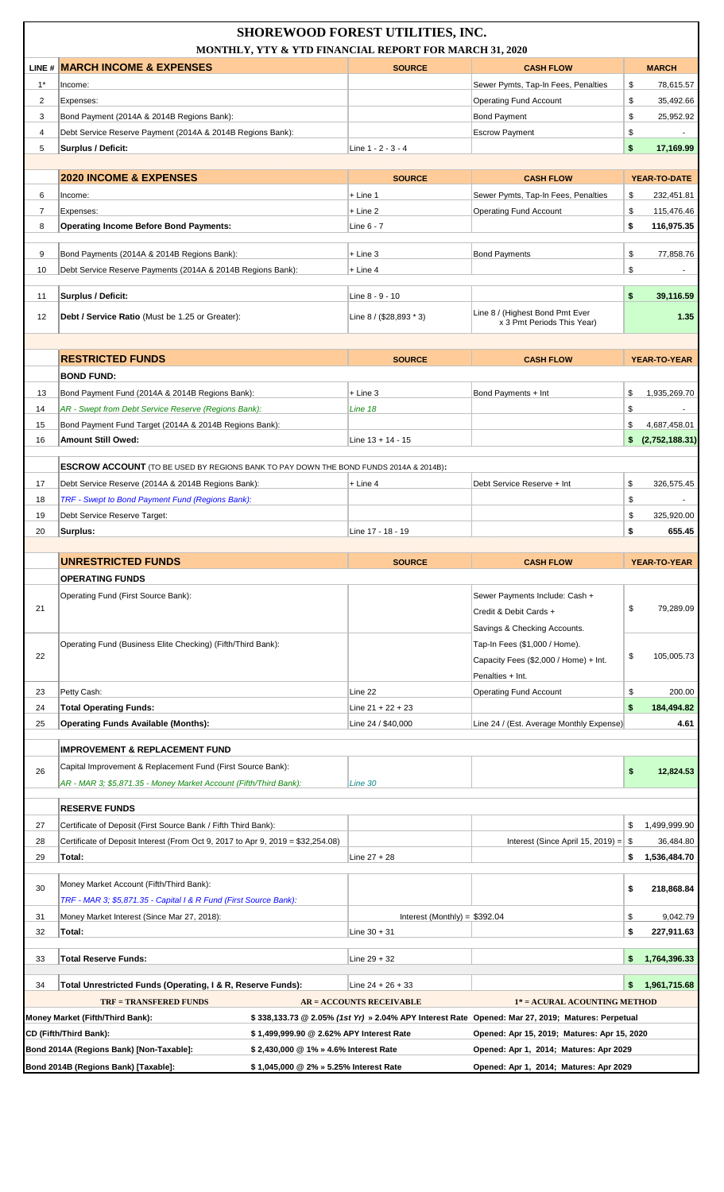|                     | SHOREWOOD FOREST UTILITIES, INC.<br>MONTHLY, YTY & YTD FINANCIAL REPORT FOR MARCH 31, 2020                                                                          |                                 |                                                                                                  |                                    |  |  |
|---------------------|---------------------------------------------------------------------------------------------------------------------------------------------------------------------|---------------------------------|--------------------------------------------------------------------------------------------------|------------------------------------|--|--|
|                     | <b>LINE # MARCH INCOME &amp; EXPENSES</b>                                                                                                                           | <b>SOURCE</b>                   | <b>CASH FLOW</b>                                                                                 | <b>MARCH</b>                       |  |  |
| $1^*$               | Income:                                                                                                                                                             |                                 | Sewer Pymts, Tap-In Fees, Penalties                                                              | \$<br>78,615.57                    |  |  |
| 2<br>3              | Expenses:                                                                                                                                                           |                                 | <b>Operating Fund Account</b><br><b>Bond Payment</b>                                             | \$<br>35,492.66<br>\$<br>25,952.92 |  |  |
| 4                   | Bond Payment (2014A & 2014B Regions Bank):<br>Debt Service Reserve Payment (2014A & 2014B Regions Bank):                                                            |                                 | <b>Escrow Payment</b>                                                                            | \$                                 |  |  |
| 5                   | <b>Surplus / Deficit:</b>                                                                                                                                           | Line 1 - 2 - 3 - 4              |                                                                                                  | \$<br>17,169.99                    |  |  |
|                     |                                                                                                                                                                     |                                 |                                                                                                  |                                    |  |  |
|                     | <b>2020 INCOME &amp; EXPENSES</b>                                                                                                                                   | <b>SOURCE</b>                   | <b>CASH FLOW</b>                                                                                 | YEAR-TO-DATE                       |  |  |
| 6                   | Income:                                                                                                                                                             | $+$ Line 1                      | Sewer Pymts, Tap-In Fees, Penalties                                                              | \$<br>232,451.81                   |  |  |
| $\overline{7}$<br>8 | Expenses:<br><b>Operating Income Before Bond Payments:</b>                                                                                                          | $+$ Line 2<br>Line 6 - 7        | <b>Operating Fund Account</b>                                                                    | 115,476.46<br>\$<br>\$             |  |  |
|                     |                                                                                                                                                                     |                                 |                                                                                                  | 116,975.35                         |  |  |
| 9                   | Bond Payments (2014A & 2014B Regions Bank):                                                                                                                         | $+$ Line 3                      | <b>Bond Payments</b>                                                                             | \$<br>77,858.76                    |  |  |
| 10                  | Debt Service Reserve Payments (2014A & 2014B Regions Bank):                                                                                                         | $+$ Line 4                      |                                                                                                  | \$                                 |  |  |
| 11                  | Surplus / Deficit:                                                                                                                                                  | Line 8 - 9 - 10                 |                                                                                                  | \$<br>39,116.59                    |  |  |
| 12                  | Debt / Service Ratio (Must be 1.25 or Greater):                                                                                                                     | Line $8 / (28,893 * 3)$         | Line 8 / (Highest Bond Pmt Ever                                                                  | 1.35                               |  |  |
|                     |                                                                                                                                                                     |                                 | x 3 Pmt Periods This Year)                                                                       |                                    |  |  |
|                     |                                                                                                                                                                     |                                 |                                                                                                  |                                    |  |  |
|                     | <b>RESTRICTED FUNDS</b>                                                                                                                                             | <b>SOURCE</b>                   | <b>CASH FLOW</b>                                                                                 | YEAR-TO-YEAR                       |  |  |
|                     | <b>BOND FUND:</b>                                                                                                                                                   |                                 |                                                                                                  |                                    |  |  |
| 13<br>14            | Bond Payment Fund (2014A & 2014B Regions Bank):<br>AR - Swept from Debt Service Reserve (Regions Bank):                                                             | $+$ Line 3<br>Line 18           | Bond Payments + Int                                                                              | \$<br>1,935,269.70<br>\$           |  |  |
| 15                  | Bond Payment Fund Target (2014A & 2014B Regions Bank):                                                                                                              |                                 |                                                                                                  | \$<br>4,687,458.01                 |  |  |
| 16                  | <b>Amount Still Owed:</b>                                                                                                                                           | Line $13 + 14 - 15$             |                                                                                                  | \$ (2,752,188.31)                  |  |  |
|                     |                                                                                                                                                                     |                                 |                                                                                                  |                                    |  |  |
|                     | <b>ESCROW ACCOUNT</b> (TO BE USED BY REGIONS BANK TO PAY DOWN THE BOND FUNDS 2014A & 2014B):                                                                        |                                 |                                                                                                  |                                    |  |  |
| 17<br>18            | Debt Service Reserve (2014A & 2014B Regions Bank):<br>TRF - Swept to Bond Payment Fund (Regions Bank):                                                              | + Line 4                        | Debt Service Reserve + Int                                                                       | \$<br>326,575.45<br>\$             |  |  |
| 19                  | Debt Service Reserve Target:                                                                                                                                        |                                 |                                                                                                  | \$<br>325,920.00                   |  |  |
| 20                  | Surplus:                                                                                                                                                            | Line 17 - 18 - 19               |                                                                                                  | \$<br>655.45                       |  |  |
|                     |                                                                                                                                                                     |                                 |                                                                                                  |                                    |  |  |
|                     |                                                                                                                                                                     |                                 |                                                                                                  |                                    |  |  |
|                     | <b>UNRESTRICTED FUNDS</b>                                                                                                                                           | <b>SOURCE</b>                   | <b>CASH FLOW</b>                                                                                 | YEAR-TO-YEAR                       |  |  |
|                     | <b>OPERATING FUNDS</b>                                                                                                                                              |                                 |                                                                                                  |                                    |  |  |
|                     | Operating Fund (First Source Bank):                                                                                                                                 |                                 | Sewer Payments Include: Cash +                                                                   |                                    |  |  |
| 21                  |                                                                                                                                                                     |                                 | Credit & Debit Cards +                                                                           | \$<br>79,289.09                    |  |  |
|                     |                                                                                                                                                                     |                                 | Savings & Checking Accounts.                                                                     |                                    |  |  |
| 22                  | Operating Fund (Business Elite Checking) (Fifth/Third Bank):                                                                                                        |                                 | Tap-In Fees (\$1,000 / Home).<br>Capacity Fees (\$2,000 / Home) + Int.                           | \$<br>105,005.73                   |  |  |
|                     |                                                                                                                                                                     |                                 | Penalties + Int.                                                                                 |                                    |  |  |
| 23                  | Petty Cash:                                                                                                                                                         | Line 22                         | <b>Operating Fund Account</b>                                                                    | \$<br>200.00                       |  |  |
| 24                  | <b>Total Operating Funds:</b>                                                                                                                                       | Line $21 + 22 + 23$             |                                                                                                  | \$<br>184,494.82                   |  |  |
| 25                  | <b>Operating Funds Available (Months):</b>                                                                                                                          | Line 24 / \$40,000              | Line 24 / (Est. Average Monthly Expense)                                                         | 4.61                               |  |  |
|                     | <b>IMPROVEMENT &amp; REPLACEMENT FUND</b>                                                                                                                           |                                 |                                                                                                  |                                    |  |  |
| 26                  | Capital Improvement & Replacement Fund (First Source Bank):                                                                                                         |                                 |                                                                                                  | \$<br>12,824.53                    |  |  |
|                     | AR - MAR 3; \$5,871.35 - Money Market Account (Fifth/Third Bank):                                                                                                   | Line 30                         |                                                                                                  |                                    |  |  |
|                     | <b>RESERVE FUNDS</b>                                                                                                                                                |                                 |                                                                                                  |                                    |  |  |
| 27                  | Certificate of Deposit (First Source Bank / Fifth Third Bank):                                                                                                      |                                 |                                                                                                  | 1,499,999.90<br>\$                 |  |  |
| 28                  | Certificate of Deposit Interest (From Oct 9, 2017 to Apr 9, 2019 = $$32,254.08$ )                                                                                   |                                 | Interest (Since April 15, 2019) = $\$\$                                                          | 36,484.80                          |  |  |
| 29                  | Total:                                                                                                                                                              | Line $27 + 28$                  |                                                                                                  | \$<br>1,536,484.70                 |  |  |
|                     |                                                                                                                                                                     |                                 |                                                                                                  |                                    |  |  |
| 30                  | Money Market Account (Fifth/Third Bank):<br>TRF - MAR 3; \$5,871.35 - Capital I & R Fund (First Source Bank):                                                       |                                 |                                                                                                  | \$<br>218,868.84                   |  |  |
| 31                  | Money Market Interest (Since Mar 27, 2018):                                                                                                                         | Interest (Monthly) = $$392.04$  |                                                                                                  | \$<br>9,042.79                     |  |  |
| 32                  | Total:                                                                                                                                                              | Line $30 + 31$                  |                                                                                                  | \$<br>227,911.63                   |  |  |
|                     |                                                                                                                                                                     |                                 |                                                                                                  |                                    |  |  |
| 33                  | <b>Total Reserve Funds:</b>                                                                                                                                         | Line 29 + 32                    |                                                                                                  | 1,764,396.33<br>\$.                |  |  |
| 34                  | Total Unrestricted Funds (Operating, I & R, Reserve Funds):                                                                                                         | Line 24 + 26 + 33               |                                                                                                  | 1,961,715.68<br>\$.                |  |  |
|                     | <b>TRF = TRANSFERED FUNDS</b>                                                                                                                                       | <b>AR = ACCOUNTS RECEIVABLE</b> | 1* = ACURAL ACOUNTING METHOD                                                                     |                                    |  |  |
|                     | Money Market (Fifth/Third Bank):                                                                                                                                    |                                 | \$338,133.73 @ 2.05% (1st Yr) » 2.04% APY Interest Rate Opened: Mar 27, 2019; Matures: Perpetual |                                    |  |  |
|                     | CD (Fifth/Third Bank):<br>\$1,499,999.90 @ 2.62% APY Interest Rate                                                                                                  |                                 | Opened: Apr 15, 2019; Matures: Apr 15, 2020                                                      |                                    |  |  |
|                     | Bond 2014A (Regions Bank) [Non-Taxable]:<br>\$2,430,000 @ 1% » 4.6% Interest Rate<br>Bond 2014B (Regions Bank) [Taxable]:<br>\$1,045,000 @ 2% » 5.25% Interest Rate |                                 | Opened: Apr 1, 2014; Matures: Apr 2029<br>Opened: Apr 1, 2014; Matures: Apr 2029                 |                                    |  |  |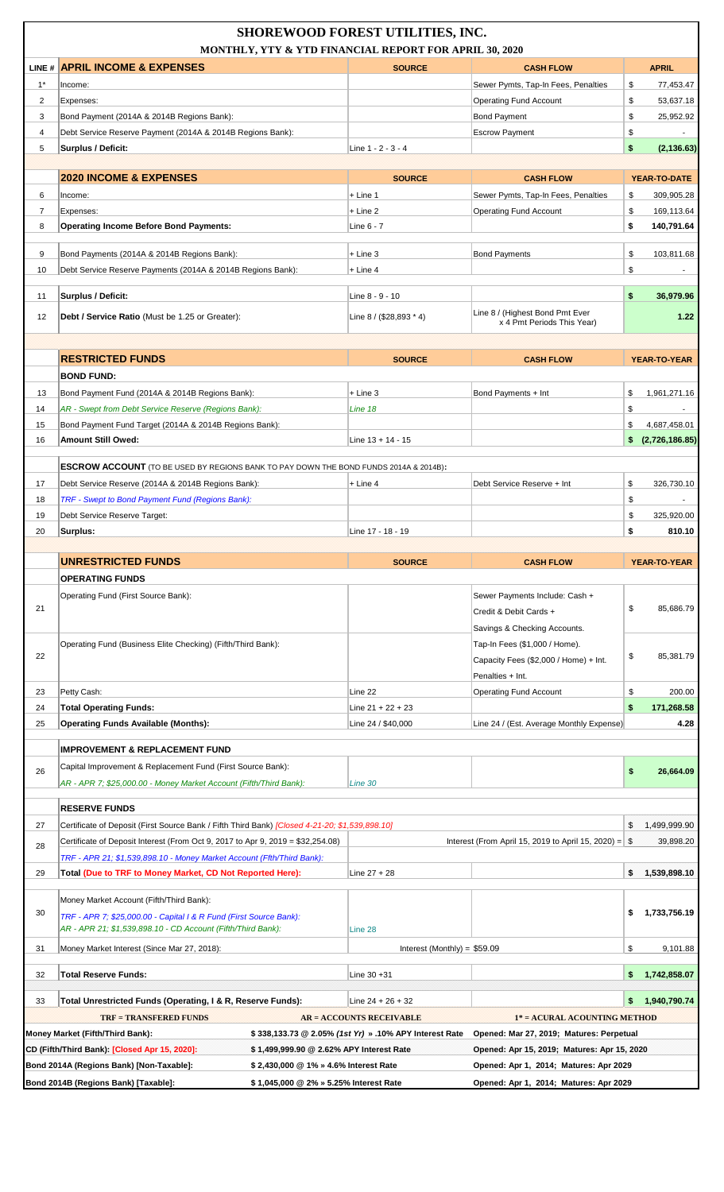|                         | <b>SHOREWOOD FOREST UTILITIES, INC.</b><br>MONTHLY, YTY & YTD FINANCIAL REPORT FOR APRIL 30, 2020                                                                    |                                                        |                                                                                  |                            |  |
|-------------------------|----------------------------------------------------------------------------------------------------------------------------------------------------------------------|--------------------------------------------------------|----------------------------------------------------------------------------------|----------------------------|--|
|                         | LINE # APRIL INCOME & EXPENSES                                                                                                                                       | <b>SOURCE</b>                                          | <b>CASH FLOW</b>                                                                 | <b>APRIL</b>               |  |
| $1^*$                   | Income:                                                                                                                                                              |                                                        | Sewer Pymts, Tap-In Fees, Penalties                                              | \$<br>77,453.47            |  |
| $\overline{\mathbf{c}}$ | Expenses:                                                                                                                                                            |                                                        | <b>Operating Fund Account</b>                                                    | \$<br>53,637.18            |  |
| 3                       | Bond Payment (2014A & 2014B Regions Bank):                                                                                                                           |                                                        | <b>Bond Payment</b>                                                              | \$<br>25,952.92            |  |
| 4                       | Debt Service Reserve Payment (2014A & 2014B Regions Bank):                                                                                                           |                                                        | <b>Escrow Payment</b>                                                            | \$                         |  |
| 5                       | Surplus / Deficit:                                                                                                                                                   | Line 1 - 2 - 3 - 4                                     |                                                                                  | \$<br>(2, 136.63)          |  |
|                         | <b>2020 INCOME &amp; EXPENSES</b>                                                                                                                                    | <b>SOURCE</b>                                          | <b>CASH FLOW</b>                                                                 | YEAR-TO-DATE               |  |
| 6                       | Income:                                                                                                                                                              | + Line 1                                               | Sewer Pymts, Tap-In Fees, Penalties                                              | \$<br>309,905.28           |  |
| $\overline{7}$          | Expenses:                                                                                                                                                            | $+$ Line 2                                             | <b>Operating Fund Account</b>                                                    | 169,113.64<br>\$           |  |
| 8                       | <b>Operating Income Before Bond Payments:</b>                                                                                                                        | Line 6 - 7                                             |                                                                                  | \$<br>140,791.64           |  |
| 9                       | Bond Payments (2014A & 2014B Regions Bank):                                                                                                                          | $+$ Line 3                                             | <b>Bond Payments</b>                                                             | \$<br>103,811.68           |  |
| 10                      | Debt Service Reserve Payments (2014A & 2014B Regions Bank):                                                                                                          | $+$ Line 4                                             |                                                                                  | \$                         |  |
|                         |                                                                                                                                                                      |                                                        |                                                                                  |                            |  |
| 11                      | Surplus / Deficit:                                                                                                                                                   | Line 8 - 9 - 10                                        |                                                                                  | \$<br>36,979.96            |  |
| 12                      | Debt / Service Ratio (Must be 1.25 or Greater):                                                                                                                      | Line 8 / (\$28,893 * 4)                                | Line 8 / (Highest Bond Pmt Ever<br>x 4 Pmt Periods This Year)                    | 1.22                       |  |
|                         |                                                                                                                                                                      |                                                        |                                                                                  |                            |  |
|                         | <b>RESTRICTED FUNDS</b>                                                                                                                                              | <b>SOURCE</b>                                          | <b>CASH FLOW</b>                                                                 | YEAR-TO-YEAR               |  |
|                         | <b>BOND FUND:</b>                                                                                                                                                    |                                                        |                                                                                  |                            |  |
| 13                      | Bond Payment Fund (2014A & 2014B Regions Bank):                                                                                                                      | $+$ Line 3                                             | Bond Payments + Int                                                              | \$<br>1,961,271.16         |  |
| 14                      | AR - Swept from Debt Service Reserve (Regions Bank):                                                                                                                 | Line 18                                                |                                                                                  | \$                         |  |
| 15                      | Bond Payment Fund Target (2014A & 2014B Regions Bank):                                                                                                               |                                                        |                                                                                  | \$<br>4,687,458.01         |  |
| 16                      | <b>Amount Still Owed:</b>                                                                                                                                            | Line 13 + 14 - 15                                      |                                                                                  | \$ (2,726,186.85)          |  |
|                         | <b>ESCROW ACCOUNT</b> (TO BE USED BY REGIONS BANK TO PAY DOWN THE BOND FUNDS 2014A & 2014B):                                                                         |                                                        |                                                                                  |                            |  |
| 17                      |                                                                                                                                                                      |                                                        | Debt Service Reserve + Int                                                       | \$                         |  |
|                         | Debt Service Reserve (2014A & 2014B Regions Bank):<br>TRF - Swept to Bond Payment Fund (Regions Bank):                                                               | + Line 4                                               |                                                                                  | 326,730.10                 |  |
| 18                      |                                                                                                                                                                      |                                                        |                                                                                  | \$<br>\$                   |  |
| 19<br>20                | Debt Service Reserve Target:<br>Surplus:                                                                                                                             | Line 17 - 18 - 19                                      |                                                                                  | 325,920.00<br>\$<br>810.10 |  |
|                         |                                                                                                                                                                      |                                                        |                                                                                  |                            |  |
|                         |                                                                                                                                                                      |                                                        |                                                                                  |                            |  |
|                         |                                                                                                                                                                      |                                                        |                                                                                  |                            |  |
|                         | <b>UNRESTRICTED FUNDS</b><br><b>OPERATING FUNDS</b>                                                                                                                  | <b>SOURCE</b>                                          | <b>CASH FLOW</b>                                                                 | YEAR-TO-YEAR               |  |
|                         |                                                                                                                                                                      |                                                        |                                                                                  |                            |  |
| 21                      | Operating Fund (First Source Bank):                                                                                                                                  |                                                        | Sewer Payments Include: Cash +<br>Credit & Debit Cards +                         | \$<br>85,686.79            |  |
|                         |                                                                                                                                                                      |                                                        | Savings & Checking Accounts.                                                     |                            |  |
|                         | Operating Fund (Business Elite Checking) (Fifth/Third Bank):                                                                                                         |                                                        | Tap-In Fees (\$1,000 / Home).                                                    |                            |  |
| 22                      |                                                                                                                                                                      |                                                        | Capacity Fees (\$2,000 / Home) + Int.                                            | 85,381.79<br>\$            |  |
|                         |                                                                                                                                                                      |                                                        | Penalties + Int.                                                                 |                            |  |
| 23                      | Petty Cash:                                                                                                                                                          | Line 22                                                | <b>Operating Fund Account</b>                                                    | \$<br>200.00               |  |
| 24                      | <b>Total Operating Funds:</b>                                                                                                                                        | Line $21 + 22 + 23$                                    |                                                                                  | \$<br>171,268.58           |  |
| 25                      | <b>Operating Funds Available (Months):</b>                                                                                                                           | Line 24 / \$40,000                                     | Line 24 / (Est. Average Monthly Expense)                                         | 4.28                       |  |
|                         |                                                                                                                                                                      |                                                        |                                                                                  |                            |  |
|                         | <b>IMPROVEMENT &amp; REPLACEMENT FUND</b>                                                                                                                            |                                                        |                                                                                  |                            |  |
| 26                      | Capital Improvement & Replacement Fund (First Source Bank):                                                                                                          |                                                        |                                                                                  | \$<br>26,664.09            |  |
|                         | AR - APR 7; \$25,000.00 - Money Market Account (Fifth/Third Bank):                                                                                                   | Line 30                                                |                                                                                  |                            |  |
|                         | <b>RESERVE FUNDS</b>                                                                                                                                                 |                                                        |                                                                                  |                            |  |
| 27                      | Certificate of Deposit (First Source Bank / Fifth Third Bank) [Closed 4-21-20; \$1,539,898.10]                                                                       |                                                        |                                                                                  | 1,499,999.90<br>\$         |  |
|                         |                                                                                                                                                                      |                                                        |                                                                                  |                            |  |
| 28                      | Certificate of Deposit Interest (From Oct 9, 2017 to Apr 9, 2019 = \$32,254.08)                                                                                      |                                                        | Interest (From April 15, 2019 to April 15, 2020) = $$$                           | 39,898.20                  |  |
| 29                      | TRF - APR 21; \$1,539,898.10 - Money Market Account (Ffth/Third Bank):<br>Total (Due to TRF to Money Market, CD Not Reported Here):                                  | Line $27 + 28$                                         |                                                                                  | \$<br>1,539,898.10         |  |
|                         |                                                                                                                                                                      |                                                        |                                                                                  |                            |  |
|                         | Money Market Account (Fifth/Third Bank):                                                                                                                             |                                                        |                                                                                  |                            |  |
| 30                      | TRF - APR 7; \$25,000.00 - Capital I & R Fund (First Source Bank):                                                                                                   |                                                        |                                                                                  | \$<br>1,733,756.19         |  |
| 31                      | AR - APR 21; \$1,539,898.10 - CD Account (Fifth/Third Bank):<br>Money Market Interest (Since Mar 27, 2018):                                                          | Line 28<br>Interest (Monthly) = $$59.09$               |                                                                                  | \$<br>9,101.88             |  |
| 32                      | <b>Total Reserve Funds:</b>                                                                                                                                          | Line 30 +31                                            |                                                                                  | 1,742,858.07<br>\$.        |  |
|                         |                                                                                                                                                                      |                                                        |                                                                                  |                            |  |
| 33                      | Total Unrestricted Funds (Operating, I & R, Reserve Funds):                                                                                                          | Line 24 + 26 + 32                                      |                                                                                  | 1,940,790.74<br>\$.        |  |
|                         | <b>TRF = TRANSFERED FUNDS</b>                                                                                                                                        | <b>AR = ACCOUNTS RECEIVABLE</b>                        | 1* = ACURAL ACOUNTING METHOD                                                     |                            |  |
|                         | Money Market (Fifth/Third Bank):                                                                                                                                     | \$338,133.73 @ 2.05% (1st Yr) » .10% APY Interest Rate | Opened: Mar 27, 2019; Matures: Perpetual                                         |                            |  |
|                         | CD (Fifth/Third Bank): [Closed Apr 15, 2020]:<br>\$1,499,999.90 @ 2.62% APY Interest Rate                                                                            |                                                        | Opened: Apr 15, 2019; Matures: Apr 15, 2020                                      |                            |  |
|                         | Bond 2014A (Regions Bank) [Non-Taxable]:<br>\$2,430,000 @ 1% » 4.6% Interest Rate<br>Bond 2014B (Regions Bank) [Taxable]:<br>\$ 1,045,000 @ 2% » 5.25% Interest Rate |                                                        | Opened: Apr 1, 2014; Matures: Apr 2029<br>Opened: Apr 1, 2014; Matures: Apr 2029 |                            |  |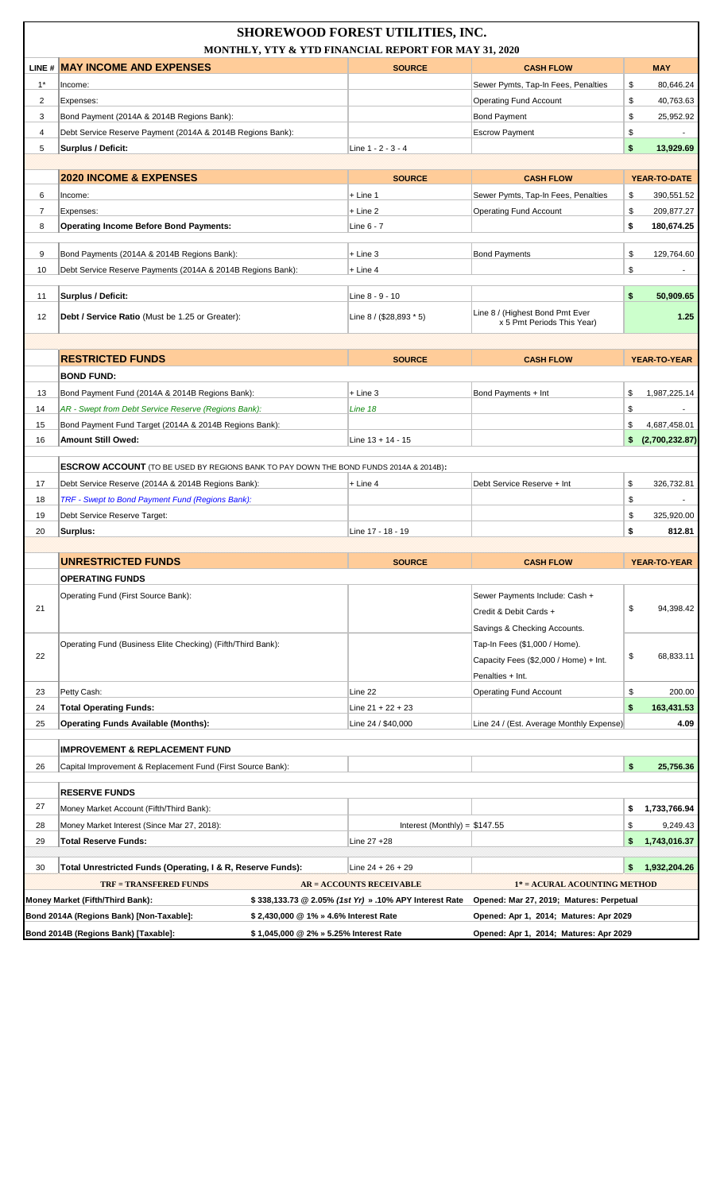|                | <b>SHOREWOOD FOREST UTILITIES, INC.</b><br>MONTHLY, YTY & YTD FINANCIAL REPORT FOR MAY 31, 2020 |                                        |                                                        |                                                               |     |                |
|----------------|-------------------------------------------------------------------------------------------------|----------------------------------------|--------------------------------------------------------|---------------------------------------------------------------|-----|----------------|
|                | LINE # MAY INCOME AND EXPENSES                                                                  |                                        | <b>SOURCE</b>                                          | <b>CASH FLOW</b>                                              |     | <b>MAY</b>     |
| $1^*$          | Income:                                                                                         |                                        |                                                        | Sewer Pymts, Tap-In Fees, Penalties                           | \$  | 80,646.24      |
| 2              | Expenses:                                                                                       |                                        |                                                        | <b>Operating Fund Account</b>                                 | \$  | 40,763.63      |
| 3              | Bond Payment (2014A & 2014B Regions Bank):                                                      |                                        |                                                        | <b>Bond Payment</b>                                           | \$  | 25,952.92      |
| 4              | Debt Service Reserve Payment (2014A & 2014B Regions Bank):                                      |                                        |                                                        | <b>Escrow Payment</b>                                         | \$  |                |
| 5              | Surplus / Deficit:                                                                              |                                        | Line 1 - 2 - 3 - 4                                     |                                                               | \$  | 13,929.69      |
|                |                                                                                                 |                                        |                                                        |                                                               |     |                |
|                | <b>2020 INCOME &amp; EXPENSES</b>                                                               |                                        | <b>SOURCE</b>                                          | <b>CASH FLOW</b>                                              |     | YEAR-TO-DATE   |
| 6              | Income:                                                                                         |                                        | $+$ Line 1                                             | Sewer Pymts, Tap-In Fees, Penalties                           | \$  | 390,551.52     |
| $\overline{7}$ | Expenses:                                                                                       |                                        | $+$ Line 2                                             | <b>Operating Fund Account</b>                                 | \$  | 209,877.27     |
| 8              | <b>Operating Income Before Bond Payments:</b>                                                   |                                        | Line 6 - 7                                             |                                                               | \$  | 180,674.25     |
| 9              | Bond Payments (2014A & 2014B Regions Bank):                                                     |                                        | $+$ Line 3                                             | <b>Bond Payments</b>                                          | \$  | 129,764.60     |
| 10             | Debt Service Reserve Payments (2014A & 2014B Regions Bank):                                     |                                        | $+$ Line 4                                             |                                                               | \$  |                |
|                |                                                                                                 |                                        |                                                        |                                                               |     |                |
| 11             | Surplus / Deficit:                                                                              |                                        | Line 8 - 9 - 10                                        |                                                               | \$  | 50,909.65      |
| 12             | <b>Debt / Service Ratio</b> (Must be 1.25 or Greater):                                          |                                        | Line 8 / (\$28,893 * 5)                                | Line 8 / (Highest Bond Pmt Ever<br>x 5 Pmt Periods This Year) |     | 1.25           |
|                |                                                                                                 |                                        |                                                        |                                                               |     |                |
|                | <b>RESTRICTED FUNDS</b>                                                                         |                                        | <b>SOURCE</b>                                          | <b>CASH FLOW</b>                                              |     | YEAR-TO-YEAR   |
|                | <b>BOND FUND:</b>                                                                               |                                        |                                                        |                                                               |     |                |
| 13             | Bond Payment Fund (2014A & 2014B Regions Bank):                                                 |                                        | $+$ Line 3                                             | Bond Payments + Int                                           | \$  | 1,987,225.14   |
| 14             | AR - Swept from Debt Service Reserve (Regions Bank):                                            |                                        | Line 18                                                |                                                               | \$  |                |
| 15             | Bond Payment Fund Target (2014A & 2014B Regions Bank):                                          |                                        |                                                        |                                                               | \$  | 4,687,458.01   |
| 16             | Amount Still Owed:                                                                              |                                        | Line $13 + 14 - 15$                                    |                                                               | \$  | (2,700,232.87) |
|                | <b>ESCROW ACCOUNT</b> (TO BE USED BY REGIONS BANK TO PAY DOWN THE BOND FUNDS 2014A & 2014B):    |                                        |                                                        |                                                               |     |                |
| 17             | Debt Service Reserve (2014A & 2014B Regions Bank):                                              |                                        | + Line 4                                               | Debt Service Reserve + Int                                    | \$  | 326,732.81     |
| 18             | TRF - Swept to Bond Payment Fund (Regions Bank):                                                |                                        |                                                        |                                                               | \$  |                |
| 19             | Debt Service Reserve Target:                                                                    |                                        |                                                        |                                                               | \$  | 325,920.00     |
| 20             | Surplus:                                                                                        |                                        | Line 17 - 18 - 19                                      |                                                               | \$  | 812.81         |
|                |                                                                                                 |                                        |                                                        |                                                               |     |                |
|                | <b>UNRESTRICTED FUNDS</b>                                                                       |                                        | <b>SOURCE</b>                                          | <b>CASH FLOW</b>                                              |     | YEAR-TO-YEAR   |
|                | <b>OPERATING FUNDS</b>                                                                          |                                        |                                                        |                                                               |     |                |
|                | Operating Fund (First Source Bank):                                                             |                                        |                                                        | Sewer Payments Include: Cash +                                |     |                |
| 21             |                                                                                                 |                                        |                                                        | Credit & Debit Cards +                                        | \$  | 94,398.42      |
|                |                                                                                                 |                                        |                                                        | Savings & Checking Accounts.                                  |     |                |
|                | Operating Fund (Business Elite Checking) (Fifth/Third Bank):                                    |                                        |                                                        | Tap-In Fees (\$1,000 / Home).                                 |     |                |
| 22             |                                                                                                 |                                        |                                                        | Capacity Fees (\$2,000 / Home) + Int.                         | \$  | 68,833.11      |
|                |                                                                                                 |                                        |                                                        | Penalties + Int.                                              |     |                |
| 23             | Petty Cash:                                                                                     |                                        | Line 22                                                | <b>Operating Fund Account</b>                                 | \$  | 200.00         |
| 24             | <b>Total Operating Funds:</b>                                                                   |                                        | Line $21 + 22 + 23$                                    |                                                               | \$  | 163,431.53     |
| 25             | <b>Operating Funds Available (Months):</b>                                                      |                                        | Line 24 / \$40,000                                     | Line 24 / (Est. Average Monthly Expense)                      |     | 4.09           |
|                | <b>IMPROVEMENT &amp; REPLACEMENT FUND</b>                                                       |                                        |                                                        |                                                               |     |                |
| 26             | Capital Improvement & Replacement Fund (First Source Bank):                                     |                                        |                                                        |                                                               | \$  | 25,756.36      |
|                | <b>RESERVE FUNDS</b>                                                                            |                                        |                                                        |                                                               |     |                |
| 27             | Money Market Account (Fifth/Third Bank):                                                        |                                        |                                                        |                                                               | \$  | 1,733,766.94   |
| 28             | Money Market Interest (Since Mar 27, 2018):                                                     |                                        | Interest (Monthly) = $$147.55$                         |                                                               | \$  | 9,249.43       |
| 29             | <b>Total Reserve Funds:</b>                                                                     |                                        | Line 27 +28                                            |                                                               | \$  | 1,743,016.37   |
|                |                                                                                                 |                                        |                                                        |                                                               |     |                |
| 30             | Total Unrestricted Funds (Operating, I & R, Reserve Funds):                                     |                                        | Line $24 + 26 + 29$                                    |                                                               | \$. | 1,932,204.26   |
|                | <b>TRF = TRANSFERED FUNDS</b>                                                                   |                                        | <b>AR = ACCOUNTS RECEIVABLE</b>                        | 1* = ACURAL ACOUNTING METHOD                                  |     |                |
|                | Money Market (Fifth/Third Bank):                                                                |                                        | \$338,133.73 @ 2.05% (1st Yr) » .10% APY Interest Rate | Opened: Mar 27, 2019; Matures: Perpetual                      |     |                |
|                | Bond 2014A (Regions Bank) [Non-Taxable]:                                                        | \$2,430,000 @ 1% » 4.6% Interest Rate  |                                                        | Opened: Apr 1, 2014; Matures: Apr 2029                        |     |                |
|                | Bond 2014B (Regions Bank) [Taxable]:                                                            | \$1,045,000 @ 2% » 5.25% Interest Rate |                                                        | Opened: Apr 1, 2014; Matures: Apr 2029                        |     |                |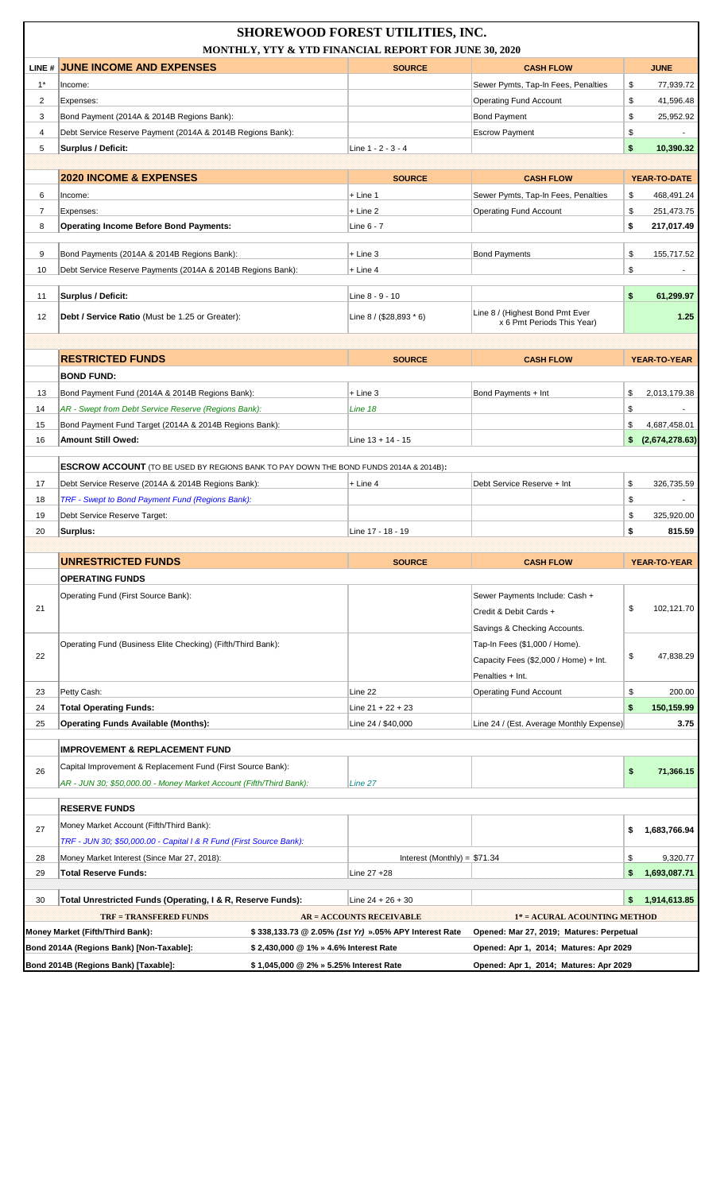|                | <b>SHOREWOOD FOREST UTILITIES, INC.</b><br>MONTHLY, YTY & YTD FINANCIAL REPORT FOR JUNE 30, 2020 |                                                       |                                          |                     |  |  |
|----------------|--------------------------------------------------------------------------------------------------|-------------------------------------------------------|------------------------------------------|---------------------|--|--|
|                | LINE # JUNE INCOME AND EXPENSES                                                                  | <b>SOURCE</b>                                         | <b>CASH FLOW</b>                         | <b>JUNE</b>         |  |  |
| $1^*$          | Income:                                                                                          |                                                       | Sewer Pymts, Tap-In Fees, Penalties      | 77,939.72<br>\$     |  |  |
| 2              | Expenses:                                                                                        |                                                       | <b>Operating Fund Account</b>            | \$<br>41,596.48     |  |  |
| 3              | Bond Payment (2014A & 2014B Regions Bank):                                                       |                                                       | <b>Bond Payment</b>                      | \$<br>25,952.92     |  |  |
| 4              | Debt Service Reserve Payment (2014A & 2014B Regions Bank):                                       |                                                       | <b>Escrow Payment</b>                    | \$                  |  |  |
| 5              | <b>Surplus / Deficit:</b>                                                                        | Line 1 - 2 - 3 - 4                                    |                                          | \$<br>10,390.32     |  |  |
|                |                                                                                                  |                                                       |                                          |                     |  |  |
|                | <b>2020 INCOME &amp; EXPENSES</b>                                                                | <b>SOURCE</b>                                         | <b>CASH FLOW</b>                         | YEAR-TO-DATE        |  |  |
| 6              | Income:                                                                                          | $+$ Line 1                                            | Sewer Pymts, Tap-In Fees, Penalties      | \$<br>468,491.24    |  |  |
| $\overline{7}$ | Expenses:                                                                                        | + Line 2                                              | <b>Operating Fund Account</b>            | \$<br>251,473.75    |  |  |
| 8              | <b>Operating Income Before Bond Payments:</b>                                                    | Line 6 - 7                                            |                                          | \$<br>217,017.49    |  |  |
|                |                                                                                                  |                                                       |                                          |                     |  |  |
| 9              | Bond Payments (2014A & 2014B Regions Bank):                                                      | $+$ Line 3                                            | <b>Bond Payments</b>                     | \$<br>155,717.52    |  |  |
| 10             | Debt Service Reserve Payments (2014A & 2014B Regions Bank):                                      | $+$ Line 4                                            |                                          | \$                  |  |  |
| 11             | Surplus / Deficit:                                                                               | Line 8 - 9 - 10                                       |                                          | \$<br>61,299.97     |  |  |
|                |                                                                                                  |                                                       | Line 8 / (Highest Bond Pmt Ever          |                     |  |  |
| 12             | <b>Debt / Service Ratio</b> (Must be 1.25 or Greater):                                           | Line $8 / (28,893 * 6)$                               | x 6 Pmt Periods This Year)               | 1.25                |  |  |
|                |                                                                                                  |                                                       |                                          |                     |  |  |
|                | <b>RESTRICTED FUNDS</b>                                                                          | <b>SOURCE</b>                                         | <b>CASH FLOW</b>                         | YEAR-TO-YEAR        |  |  |
|                | <b>BOND FUND:</b>                                                                                |                                                       |                                          |                     |  |  |
| 13             | Bond Payment Fund (2014A & 2014B Regions Bank):                                                  | $+$ Line 3                                            | Bond Payments + Int                      | \$<br>2,013,179.38  |  |  |
| 14             | AR - Swept from Debt Service Reserve (Regions Bank):                                             | Line 18                                               |                                          | \$                  |  |  |
| 15             | Bond Payment Fund Target (2014A & 2014B Regions Bank):                                           |                                                       |                                          | \$<br>4,687,458.01  |  |  |
| 16             | <b>Amount Still Owed:</b>                                                                        | Line $13 + 14 - 15$                                   |                                          | \$(2,674,278.63)    |  |  |
|                |                                                                                                  |                                                       |                                          |                     |  |  |
|                | <b>ESCROW ACCOUNT</b> (TO BE USED BY REGIONS BANK TO PAY DOWN THE BOND FUNDS 2014A & 2014B):     |                                                       |                                          |                     |  |  |
| 17             | Debt Service Reserve (2014A & 2014B Regions Bank):                                               | $+$ Line 4                                            | Debt Service Reserve + Int               | \$<br>326,735.59    |  |  |
| 18             | TRF - Swept to Bond Payment Fund (Regions Bank):                                                 |                                                       |                                          | \$                  |  |  |
| 19             | Debt Service Reserve Target:                                                                     |                                                       |                                          | \$<br>325,920.00    |  |  |
| 20             | Surplus:                                                                                         | Line 17 - 18 - 19                                     |                                          | \$<br>815.59        |  |  |
|                |                                                                                                  |                                                       |                                          |                     |  |  |
|                | <b>UNRESTRICTED FUNDS</b>                                                                        | <b>SOURCE</b>                                         | <b>CASH FLOW</b>                         | YEAR-TO-YEAR        |  |  |
|                | <b>OPERATING FUNDS</b>                                                                           |                                                       |                                          |                     |  |  |
|                | Operating Fund (First Source Bank):                                                              |                                                       | Sewer Payments Include: Cash +           |                     |  |  |
| 21             |                                                                                                  |                                                       | Credit & Debit Cards +                   | \$<br>102,121.70    |  |  |
|                |                                                                                                  |                                                       | Savings & Checking Accounts.             |                     |  |  |
|                | Operating Fund (Business Elite Checking) (Fifth/Third Bank):                                     |                                                       | Tap-In Fees (\$1,000 / Home).            |                     |  |  |
| 22             |                                                                                                  |                                                       | Capacity Fees (\$2,000 / Home) + Int.    | \$<br>47,838.29     |  |  |
|                |                                                                                                  |                                                       | Penalties + Int.                         |                     |  |  |
| 23             | Petty Cash:                                                                                      | Line 22                                               | <b>Operating Fund Account</b>            | \$<br>200.00        |  |  |
| 24             | <b>Total Operating Funds:</b>                                                                    | Line 21 + 22 + 23                                     |                                          | \$<br>150,159.99    |  |  |
| 25             | <b>Operating Funds Available (Months):</b>                                                       | Line 24 / \$40,000                                    | Line 24 / (Est. Average Monthly Expense) | 3.75                |  |  |
|                | <b>IMPROVEMENT &amp; REPLACEMENT FUND</b>                                                        |                                                       |                                          |                     |  |  |
|                | Capital Improvement & Replacement Fund (First Source Bank):                                      |                                                       |                                          |                     |  |  |
| 26             | AR - JUN 30; \$50,000.00 - Money Market Account (Fifth/Third Bank):                              | Line 27                                               |                                          | \$<br>71,366.15     |  |  |
|                |                                                                                                  |                                                       |                                          |                     |  |  |
|                | <b>RESERVE FUNDS</b>                                                                             |                                                       |                                          |                     |  |  |
| 27             | Money Market Account (Fifth/Third Bank):                                                         |                                                       |                                          | \$<br>1,683,766.94  |  |  |
|                | TRF - JUN 30; \$50,000.00 - Capital I & R Fund (First Source Bank):                              |                                                       |                                          |                     |  |  |
| 28             | Money Market Interest (Since Mar 27, 2018):                                                      | Interest (Monthly) = $$71.34$                         |                                          | \$<br>9,320.77      |  |  |
| 29             | <b>Total Reserve Funds:</b>                                                                      | Line 27 +28                                           |                                          | 1,693,087.71<br>\$. |  |  |
|                |                                                                                                  |                                                       |                                          |                     |  |  |
| 30             | Total Unrestricted Funds (Operating, I & R, Reserve Funds):                                      | Line $24 + 26 + 30$                                   |                                          | \$.<br>1,914,613.85 |  |  |
|                | <b>TRF = TRANSFERED FUNDS</b>                                                                    | <b>AR = ACCOUNTS RECEIVABLE</b>                       | 1* = ACURAL ACOUNTING METHOD             |                     |  |  |
|                | Money Market (Fifth/Third Bank):                                                                 | \$338,133.73 @ 2.05% (1st Yr) ».05% APY Interest Rate | Opened: Mar 27, 2019; Matures: Perpetual |                     |  |  |
|                | Bond 2014A (Regions Bank) [Non-Taxable]:<br>\$2,430,000 @ 1% » 4.6% Interest Rate                |                                                       | Opened: Apr 1, 2014; Matures: Apr 2029   |                     |  |  |
|                | Bond 2014B (Regions Bank) [Taxable]:<br>\$1,045,000 @ 2% » 5.25% Interest Rate                   |                                                       | Opened: Apr 1, 2014; Matures: Apr 2029   |                     |  |  |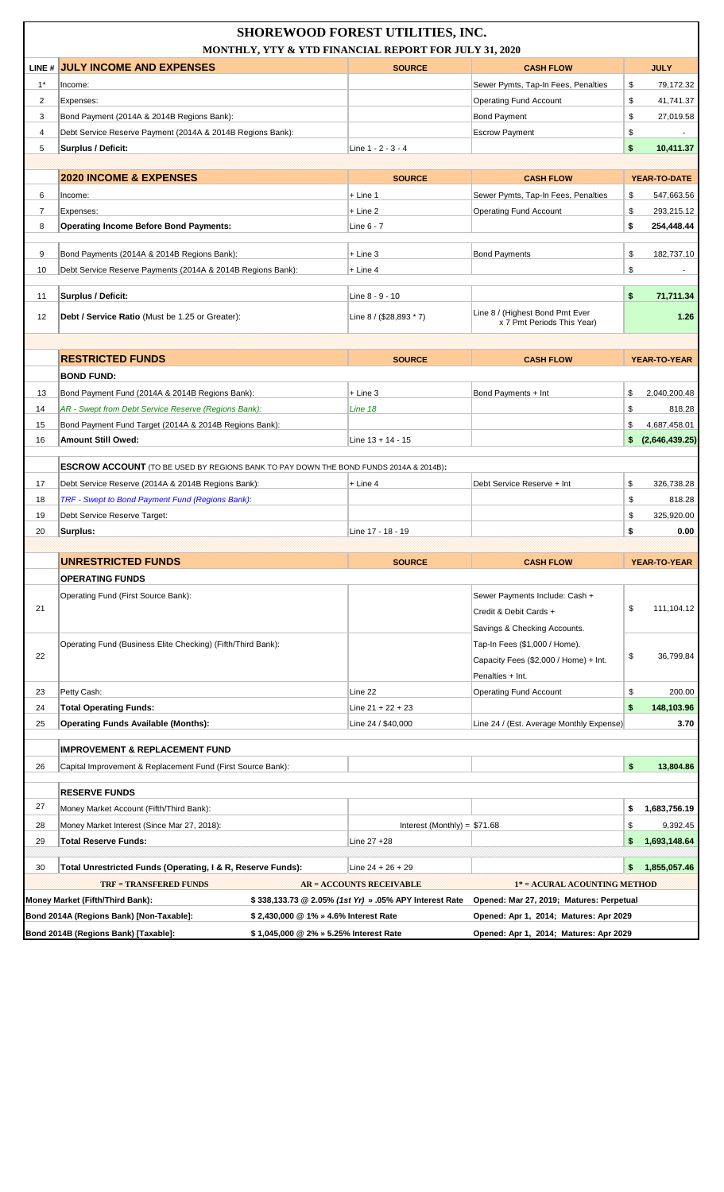|                | <b>SHOREWOOD FOREST UTILITIES, INC.</b><br>MONTHLY, YTY & YTD FINANCIAL REPORT FOR JULY 31, 2020       |                                                                                  |                                                        |                                                                                  |          |                      |
|----------------|--------------------------------------------------------------------------------------------------------|----------------------------------------------------------------------------------|--------------------------------------------------------|----------------------------------------------------------------------------------|----------|----------------------|
| LINE #         | <b>JULY INCOME AND EXPENSES</b>                                                                        |                                                                                  | <b>SOURCE</b>                                          | <b>CASH FLOW</b>                                                                 |          | <b>JULY</b>          |
| $1^*$          | Income:                                                                                                |                                                                                  |                                                        | Sewer Pymts, Tap-In Fees, Penalties                                              | \$       | 79,172.32            |
| 2              | Expenses:                                                                                              |                                                                                  |                                                        | <b>Operating Fund Account</b>                                                    | \$       | 41,741.37            |
| 3              | Bond Payment (2014A & 2014B Regions Bank):                                                             |                                                                                  |                                                        | <b>Bond Payment</b>                                                              | \$       | 27,019.58            |
| 4              | Debt Service Reserve Payment (2014A & 2014B Regions Bank):                                             |                                                                                  |                                                        | <b>Escrow Payment</b>                                                            | \$       |                      |
| 5              | Surplus / Deficit:                                                                                     |                                                                                  | Line 1 - 2 - 3 - 4                                     |                                                                                  | \$       | 10,411.37            |
|                |                                                                                                        |                                                                                  |                                                        |                                                                                  |          |                      |
|                | <b>2020 INCOME &amp; EXPENSES</b>                                                                      |                                                                                  | <b>SOURCE</b>                                          | <b>CASH FLOW</b>                                                                 |          | YEAR-TO-DATE         |
| 6              | Income:                                                                                                |                                                                                  | $+$ Line 1                                             | Sewer Pymts, Tap-In Fees, Penalties                                              | \$       | 547,663.56           |
| $\overline{7}$ | Expenses:                                                                                              |                                                                                  | $+$ Line 2                                             | <b>Operating Fund Account</b>                                                    | \$       | 293,215.12           |
| 8              | <b>Operating Income Before Bond Payments:</b>                                                          |                                                                                  | Line 6 - 7                                             |                                                                                  | \$       | 254,448.44           |
| 9              | Bond Payments (2014A & 2014B Regions Bank):                                                            |                                                                                  | $+$ Line 3                                             | <b>Bond Payments</b>                                                             | \$       | 182,737.10           |
| 10             | Debt Service Reserve Payments (2014A & 2014B Regions Bank):                                            |                                                                                  | $+$ Line 4                                             |                                                                                  | \$       |                      |
|                |                                                                                                        |                                                                                  |                                                        |                                                                                  |          |                      |
| 11             | Surplus / Deficit:                                                                                     |                                                                                  | Line 8 - 9 - 10                                        |                                                                                  | \$       | 71,711.34            |
| 12             | <b>Debt / Service Ratio</b> (Must be 1.25 or Greater):                                                 |                                                                                  | Line 8 / (\$28,893 * 7)                                | Line 8 / (Highest Bond Pmt Ever<br>x 7 Pmt Periods This Year)                    |          | 1.26                 |
|                |                                                                                                        |                                                                                  |                                                        |                                                                                  |          |                      |
|                | <b>RESTRICTED FUNDS</b>                                                                                |                                                                                  | <b>SOURCE</b>                                          | <b>CASH FLOW</b>                                                                 |          | YEAR-TO-YEAR         |
|                | <b>BOND FUND:</b>                                                                                      |                                                                                  |                                                        |                                                                                  |          |                      |
| 13             | Bond Payment Fund (2014A & 2014B Regions Bank):                                                        |                                                                                  | $+$ Line 3                                             | Bond Payments + Int                                                              | \$       | 2,040,200.48         |
| 14             | AR - Swept from Debt Service Reserve (Regions Bank):                                                   |                                                                                  | Line 18                                                |                                                                                  | \$       | 818.28               |
| 15             | Bond Payment Fund Target (2014A & 2014B Regions Bank):                                                 |                                                                                  |                                                        |                                                                                  | \$       | 4,687,458.01         |
| 16             | <b>Amount Still Owed:</b>                                                                              |                                                                                  | Line $13 + 14 - 15$                                    |                                                                                  | \$       | (2,646,439.25)       |
|                |                                                                                                        |                                                                                  |                                                        |                                                                                  |          |                      |
|                | ESCROW ACCOUNT (TO BE USED BY REGIONS BANK TO PAY DOWN THE BOND FUNDS 2014A & 2014B):                  |                                                                                  |                                                        | Debt Service Reserve + Int                                                       |          |                      |
| 17<br>18       | Debt Service Reserve (2014A & 2014B Regions Bank):<br>TRF - Swept to Bond Payment Fund (Regions Bank): |                                                                                  | + Line 4                                               |                                                                                  | \$<br>\$ | 326,738.28<br>818.28 |
| 19             | Debt Service Reserve Target:                                                                           |                                                                                  |                                                        |                                                                                  | \$       | 325,920.00           |
| 20             | Surplus:                                                                                               |                                                                                  | Line 17 - 18 - 19                                      |                                                                                  | \$       | 0.00                 |
|                | <b>UNRESTRICTED FUNDS</b>                                                                              |                                                                                  |                                                        |                                                                                  |          |                      |
|                |                                                                                                        |                                                                                  | <b>SOURCE</b>                                          | <b>CASH FLOW</b>                                                                 |          | YEAR-TO-YEAR         |
|                | <b>OPERATING FUNDS</b>                                                                                 |                                                                                  |                                                        |                                                                                  |          |                      |
| 21             | Operating Fund (First Source Bank):                                                                    |                                                                                  |                                                        | Sewer Payments Include: Cash +                                                   | \$       | 111,104.12           |
|                |                                                                                                        |                                                                                  |                                                        | Credit & Debit Cards +                                                           |          |                      |
|                |                                                                                                        |                                                                                  |                                                        | Savings & Checking Accounts.                                                     |          |                      |
| 22             | Operating Fund (Business Elite Checking) (Fifth/Third Bank):                                           |                                                                                  |                                                        | Tap-In Fees (\$1,000 / Home).<br>Capacity Fees (\$2,000 / Home) + Int.           | \$       | 36,799.84            |
|                |                                                                                                        |                                                                                  |                                                        | Penalties + Int.                                                                 |          |                      |
| 23             | Petty Cash:                                                                                            |                                                                                  | Line 22                                                | <b>Operating Fund Account</b>                                                    | \$       | 200.00               |
| 24             | <b>Total Operating Funds:</b>                                                                          |                                                                                  | Line $21 + 22 + 23$                                    |                                                                                  | \$       | 148,103.96           |
| 25             | <b>Operating Funds Available (Months):</b>                                                             |                                                                                  | Line 24 / \$40,000                                     | Line 24 / (Est. Average Monthly Expense)                                         |          | 3.70                 |
|                | <b>IMPROVEMENT &amp; REPLACEMENT FUND</b>                                                              |                                                                                  |                                                        |                                                                                  |          |                      |
| 26             | Capital Improvement & Replacement Fund (First Source Bank):                                            |                                                                                  |                                                        |                                                                                  | \$       | 13,804.86            |
|                | <b>RESERVE FUNDS</b>                                                                                   |                                                                                  |                                                        |                                                                                  |          |                      |
| 27             | Money Market Account (Fifth/Third Bank):                                                               |                                                                                  |                                                        |                                                                                  | \$       | 1,683,756.19         |
| 28             | Money Market Interest (Since Mar 27, 2018):                                                            |                                                                                  | Interest (Monthly) = $$71.68$                          |                                                                                  | \$       | 9,392.45             |
| 29             | <b>Total Reserve Funds:</b>                                                                            |                                                                                  | Line 27 +28                                            |                                                                                  | \$       | 1,693,148.64         |
|                |                                                                                                        |                                                                                  |                                                        |                                                                                  |          |                      |
| 30             | Total Unrestricted Funds (Operating, I & R, Reserve Funds):                                            |                                                                                  | Line $24 + 26 + 29$                                    |                                                                                  | \$       | 1,855,057.46         |
|                | <b>TRF = TRANSFERED FUNDS</b>                                                                          |                                                                                  | <b>AR = ACCOUNTS RECEIVABLE</b>                        | 1* = ACURAL ACOUNTING METHOD                                                     |          |                      |
|                | Money Market (Fifth/Third Bank):                                                                       |                                                                                  | \$338,133.73 @ 2.05% (1st Yr) » .05% APY Interest Rate | Opened: Mar 27, 2019; Matures: Perpetual                                         |          |                      |
|                | Bond 2014A (Regions Bank) [Non-Taxable]:<br>Bond 2014B (Regions Bank) [Taxable]:                       | \$ 2,430,000 @ 1% » 4.6% Interest Rate<br>\$1,045,000 @ 2% » 5.25% Interest Rate |                                                        | Opened: Apr 1, 2014; Matures: Apr 2029<br>Opened: Apr 1, 2014; Matures: Apr 2029 |          |                      |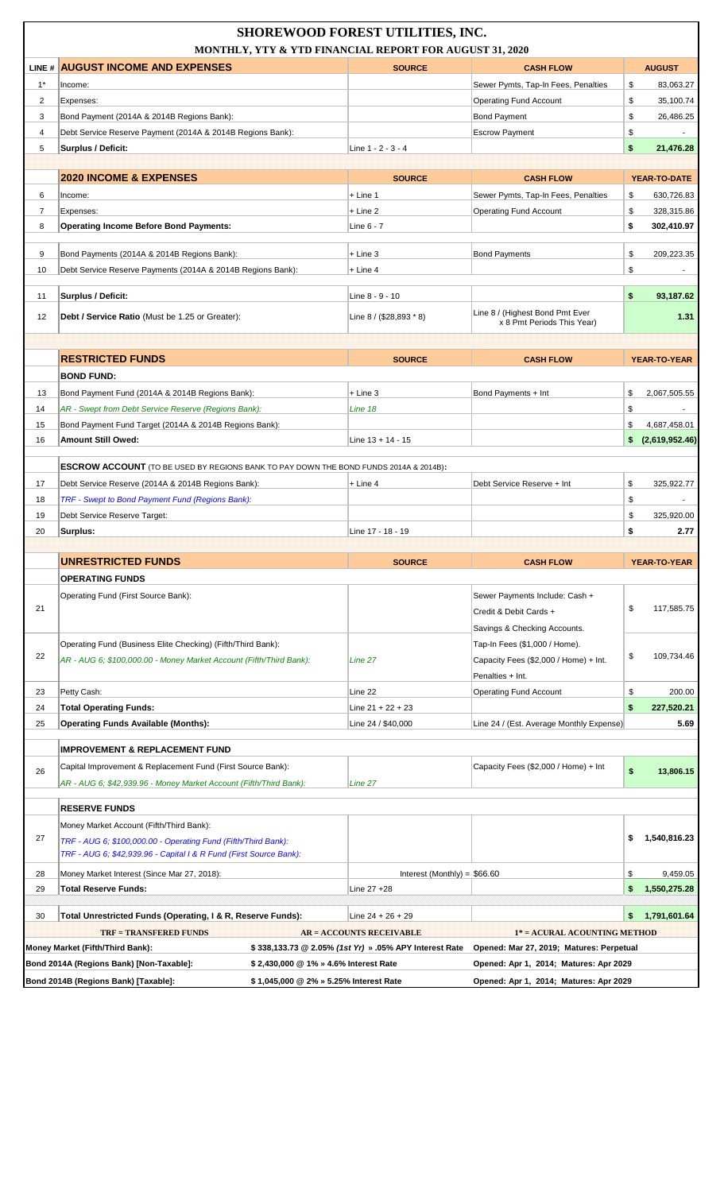|                | <b>SHOREWOOD FOREST UTILITIES, INC.</b><br>MONTHLY, YTY & YTD FINANCIAL REPORT FOR AUGUST 31, 2020                                   |                                                        |                                                                          |    |                          |  |
|----------------|--------------------------------------------------------------------------------------------------------------------------------------|--------------------------------------------------------|--------------------------------------------------------------------------|----|--------------------------|--|
|                | LINE # AUGUST INCOME AND EXPENSES                                                                                                    | <b>SOURCE</b>                                          | <b>CASH FLOW</b>                                                         |    | <b>AUGUST</b>            |  |
| $1^*$          | Income:                                                                                                                              |                                                        | Sewer Pymts, Tap-In Fees, Penalties                                      | \$ | 83,063.27                |  |
| 2              | Expenses:                                                                                                                            |                                                        | <b>Operating Fund Account</b>                                            | \$ | 35,100.74                |  |
| 3              | Bond Payment (2014A & 2014B Regions Bank):                                                                                           |                                                        | <b>Bond Payment</b>                                                      | \$ | 26,486.25                |  |
| $\overline{4}$ | Debt Service Reserve Payment (2014A & 2014B Regions Bank):                                                                           |                                                        | <b>Escrow Payment</b>                                                    | \$ |                          |  |
| 5              | Surplus / Deficit:                                                                                                                   | Line 1 - 2 - 3 - 4                                     |                                                                          | \$ | 21,476.28                |  |
|                |                                                                                                                                      |                                                        |                                                                          |    |                          |  |
|                | <b>2020 INCOME &amp; EXPENSES</b>                                                                                                    | <b>SOURCE</b>                                          | <b>CASH FLOW</b>                                                         |    | YEAR-TO-DATE             |  |
| 6              | Income:                                                                                                                              | $+$ Line 1                                             | Sewer Pymts, Tap-In Fees, Penalties                                      | \$ | 630,726.83               |  |
| $\overline{7}$ | Expenses:                                                                                                                            | $+$ Line 2                                             | <b>Operating Fund Account</b>                                            | \$ | 328,315.86               |  |
| 8              | <b>Operating Income Before Bond Payments:</b>                                                                                        | Line 6 - 7                                             |                                                                          | \$ | 302,410.97               |  |
|                |                                                                                                                                      |                                                        |                                                                          |    |                          |  |
| 9              | Bond Payments (2014A & 2014B Regions Bank):                                                                                          | $+$ Line 3                                             | <b>Bond Payments</b>                                                     | \$ | 209.223.35               |  |
| 10             | Debt Service Reserve Payments (2014A & 2014B Regions Bank):                                                                          | $+$ Line 4                                             |                                                                          | \$ |                          |  |
| 11             | Surplus / Deficit:                                                                                                                   | Line 8 - 9 - 10                                        |                                                                          | \$ | 93,187.62                |  |
| 12             | <b>Debt / Service Ratio</b> (Must be 1.25 or Greater):                                                                               | Line $8 / (28,893 * 8)$                                | Line 8 / (Highest Bond Pmt Ever<br>x 8 Pmt Periods This Year)            |    | 1.31                     |  |
|                |                                                                                                                                      |                                                        |                                                                          |    |                          |  |
|                | <b>RESTRICTED FUNDS</b>                                                                                                              | <b>SOURCE</b>                                          | <b>CASH FLOW</b>                                                         |    | YEAR-TO-YEAR             |  |
|                | <b>BOND FUND:</b>                                                                                                                    |                                                        |                                                                          |    |                          |  |
| 13             | Bond Payment Fund (2014A & 2014B Regions Bank):                                                                                      | $+$ Line 3                                             | Bond Payments + Int                                                      | \$ | 2,067,505.55             |  |
| 14             | AR - Swept from Debt Service Reserve (Regions Bank):                                                                                 | Line 18                                                |                                                                          | \$ |                          |  |
| 15             | Bond Payment Fund Target (2014A & 2014B Regions Bank):                                                                               |                                                        |                                                                          | \$ | 4,687,458.01             |  |
| 16             | Amount Still Owed:                                                                                                                   | Line $13 + 14 - 15$                                    |                                                                          | \$ | (2,619,952.46)           |  |
|                |                                                                                                                                      |                                                        |                                                                          |    |                          |  |
|                | <b>ESCROW ACCOUNT</b> (TO BE USED BY REGIONS BANK TO PAY DOWN THE BOND FUNDS 2014A & 2014B):                                         |                                                        |                                                                          |    |                          |  |
| 17             | Debt Service Reserve (2014A & 2014B Regions Bank):                                                                                   | + Line 4                                               | Debt Service Reserve + Int                                               | \$ | 325,922.77               |  |
| 18             | TRF - Swept to Bond Payment Fund (Regions Bank):                                                                                     |                                                        |                                                                          | \$ | $\overline{\phantom{a}}$ |  |
| 19             | Debt Service Reserve Target:                                                                                                         |                                                        |                                                                          | \$ | 325,920.00               |  |
| 20             | Surplus:                                                                                                                             | Line 17 - 18 - 19                                      |                                                                          | \$ | 2.77                     |  |
|                |                                                                                                                                      |                                                        |                                                                          |    |                          |  |
|                | <b>UNRESTRICTED FUNDS</b>                                                                                                            | <b>SOURCE</b>                                          | <b>CASH FLOW</b>                                                         |    | <b>YEAR-TO-YEAR</b>      |  |
|                | <b>OPERATING FUNDS</b>                                                                                                               |                                                        |                                                                          |    |                          |  |
|                | Operating Fund (First Source Bank):                                                                                                  |                                                        | Sewer Payments Include: Cash +                                           |    |                          |  |
| 21             |                                                                                                                                      |                                                        | Credit & Debit Cards +                                                   | \$ | 117,585.75               |  |
|                |                                                                                                                                      |                                                        | Savings & Checking Accounts.                                             |    |                          |  |
|                | Operating Fund (Business Elite Checking) (Fifth/Third Bank):                                                                         |                                                        | Tap-In Fees (\$1,000 / Home).                                            |    |                          |  |
| 22             | AR - AUG 6: \$100,000.00 - Money Market Account (Fifth/Third Bank):                                                                  | Line 27                                                | Capacity Fees (\$2,000 / Home) + Int.                                    | \$ | 109,734.46               |  |
|                |                                                                                                                                      |                                                        | Penalties + Int.                                                         |    |                          |  |
| 23             | Petty Cash:                                                                                                                          | Line 22                                                | <b>Operating Fund Account</b>                                            | \$ | 200.00                   |  |
| 24             | <b>Total Operating Funds:</b>                                                                                                        | Line $21 + 22 + 23$                                    |                                                                          | \$ | 227,520.21               |  |
| 25             | <b>Operating Funds Available (Months):</b>                                                                                           | Line 24 / \$40,000                                     | Line 24 / (Est. Average Monthly Expense)                                 |    | 5.69                     |  |
|                | <b>IMPROVEMENT &amp; REPLACEMENT FUND</b>                                                                                            |                                                        |                                                                          |    |                          |  |
| 26             | Capital Improvement & Replacement Fund (First Source Bank):                                                                          |                                                        | Capacity Fees (\$2,000 / Home) + Int                                     |    |                          |  |
|                | AR - AUG 6; \$42,939.96 - Money Market Account (Fifth/Third Bank):                                                                   | Line 27                                                |                                                                          | \$ | 13,806.15                |  |
|                |                                                                                                                                      |                                                        |                                                                          |    |                          |  |
|                | <b>RESERVE FUNDS</b>                                                                                                                 |                                                        |                                                                          |    |                          |  |
| 27             | Money Market Account (Fifth/Third Bank):                                                                                             |                                                        |                                                                          | \$ | 1,540,816.23             |  |
|                | TRF - AUG 6; \$100,000.00 - Operating Fund (Fifth/Third Bank):<br>TRF - AUG 6; \$42,939.96 - Capital I & R Fund (First Source Bank): |                                                        |                                                                          |    |                          |  |
| 28             | Money Market Interest (Since Mar 27, 2018):                                                                                          |                                                        | Interest (Monthly) = $$66.60$                                            | \$ | 9,459.05                 |  |
| 29             | <b>Total Reserve Funds:</b>                                                                                                          | Line 27 +28                                            |                                                                          | \$ | 1,550,275.28             |  |
|                |                                                                                                                                      |                                                        |                                                                          |    |                          |  |
| 30             | Total Unrestricted Funds (Operating, I & R, Reserve Funds):                                                                          | Line $24 + 26 + 29$                                    |                                                                          | \$ | 1,791,601.64             |  |
|                | <b>TRF = TRANSFERED FUNDS</b>                                                                                                        | <b>AR = ACCOUNTS RECEIVABLE</b>                        | 1* = ACURAL ACOUNTING METHOD<br>Opened: Mar 27, 2019; Matures: Perpetual |    |                          |  |
|                | Money Market (Fifth/Third Bank):<br>Bond 2014A (Regions Bank) [Non-Taxable]:<br>\$2,430,000 @ 1% » 4.6% Interest Rate                | \$338,133.73 @ 2.05% (1st Yr) » .05% APY Interest Rate | Opened: Apr 1, 2014; Matures: Apr 2029                                   |    |                          |  |
|                | Bond 2014B (Regions Bank) [Taxable]:<br>\$1,045,000 @ 2% » 5.25% Interest Rate                                                       |                                                        | Opened: Apr 1, 2014; Matures: Apr 2029                                   |    |                          |  |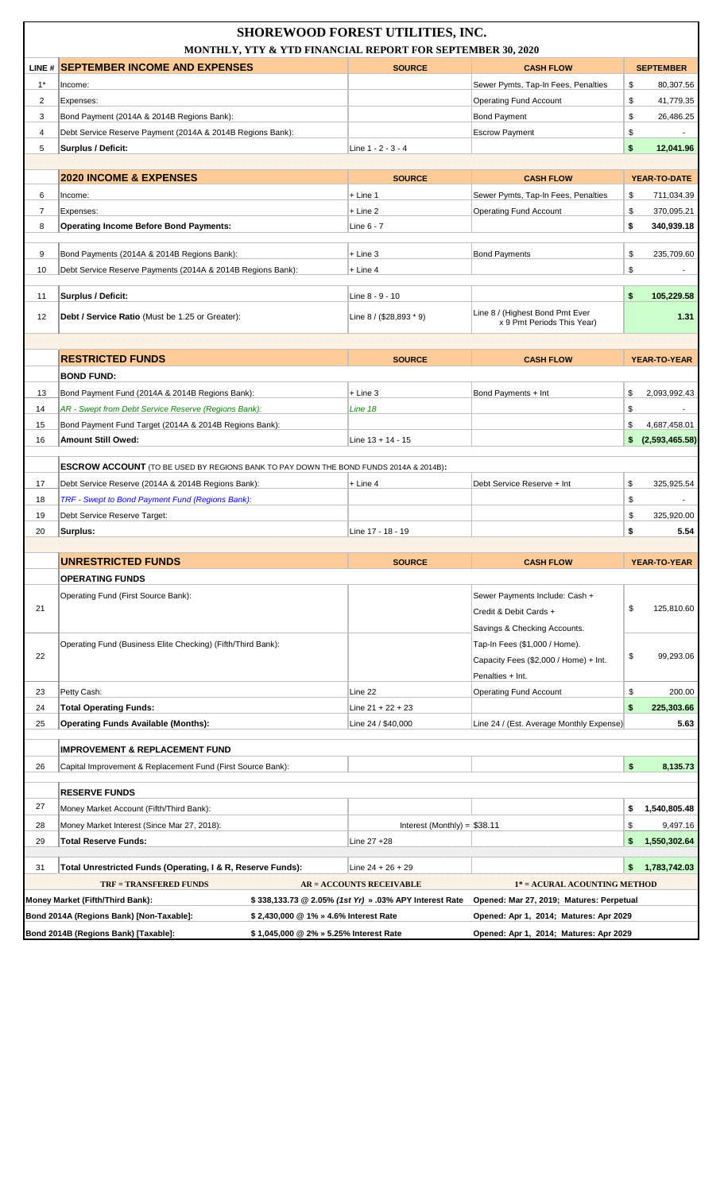| LINE # SEPTEMBER INCOME AND EXPENSES<br><b>SOURCE</b><br><b>SEPTEMBER</b><br><b>CASH FLOW</b><br>$1^*$<br>Sewer Pymts, Tap-In Fees, Penalties<br>\$<br>80,307.56<br>Income:<br>2<br>\$<br><b>Operating Fund Account</b><br>41,779.35<br>Expenses:<br>\$<br>3<br>Bond Payment (2014A & 2014B Regions Bank):<br><b>Bond Payment</b><br>26,486.25<br>\$<br>4<br>Debt Service Reserve Payment (2014A & 2014B Regions Bank):<br><b>Escrow Payment</b><br>\$<br>5<br>Surplus / Deficit:<br>Line 1 - 2 - 3 - 4<br>12,041.96<br><b>2020 INCOME &amp; EXPENSES</b><br><b>SOURCE</b><br><b>CASH FLOW</b><br>YEAR-TO-DATE<br>6<br>$+$ Line 1<br>Sewer Pymts, Tap-In Fees, Penalties<br>\$<br>711,034.39<br>Income:<br>$\overline{7}$<br>$+$ Line 2<br><b>Operating Fund Account</b><br>\$<br>370,095.21<br>Expenses:<br><b>Operating Income Before Bond Payments:</b><br>\$<br>340,939.18<br>8<br>Line 6 - 7<br>\$<br>9<br>Bond Payments (2014A & 2014B Regions Bank):<br>$+$ Line 3<br><b>Bond Payments</b><br>235,709.60<br>Debt Service Reserve Payments (2014A & 2014B Regions Bank):<br>\$<br>10<br>$+$ Line 4<br>Surplus / Deficit:<br>\$<br>105,229.58<br>11<br>Line 8 - 9 - 10<br>Line 8 / (Highest Bond Pmt Ever<br>12<br>Debt / Service Ratio (Must be 1.25 or Greater):<br>Line $8 / (28,893 * 9)$<br>1.31<br>x 9 Pmt Periods This Year)<br><b>RESTRICTED FUNDS</b><br><b>SOURCE</b><br><b>CASH FLOW</b><br>YEAR-TO-YEAR<br><b>BOND FUND:</b><br>13<br>Bond Payment Fund (2014A & 2014B Regions Bank):<br>$+$ Line 3<br>Bond Payments + Int<br>\$<br>2,093,992.43<br>14<br>AR - Swept from Debt Service Reserve (Regions Bank):<br>Line 18<br>\$<br>15<br>Bond Payment Fund Target (2014A & 2014B Regions Bank):<br>\$<br>4,687,458.01<br><b>Amount Still Owed:</b><br>(2,593,465.58)<br>16<br>Line $13 + 14 - 15$<br>\$<br><b>ESCROW ACCOUNT</b> (TO BE USED BY REGIONS BANK TO PAY DOWN THE BOND FUNDS 2014A & 2014B):<br>17<br>Debt Service Reserve (2014A & 2014B Regions Bank):<br>Debt Service Reserve + Int<br>\$<br>325,925.54<br>+ Line 4<br>TRF - Swept to Bond Payment Fund (Regions Bank):<br>18<br>\$<br>$\blacksquare$<br>\$<br>19<br>Debt Service Reserve Target:<br>325,920.00<br>\$<br>5.54<br>20<br>Surplus:<br>Line 17 - 18 - 19<br><b>UNRESTRICTED FUNDS</b><br><b>SOURCE</b><br><b>CASH FLOW</b><br>YEAR-TO-YEAR<br><b>OPERATING FUNDS</b><br>Operating Fund (First Source Bank):<br>Sewer Payments Include: Cash +<br>21<br>\$<br>125,810.60<br>Credit & Debit Cards +<br>Savings & Checking Accounts.<br>Operating Fund (Business Elite Checking) (Fifth/Third Bank):<br>Tap-In Fees (\$1,000 / Home).<br>22<br>\$<br>99,293.06<br>Capacity Fees (\$2,000 / Home) + Int.<br>Penalties + Int.<br>\$<br>Petty Cash:<br>Line 22<br><b>Operating Fund Account</b><br>200.00<br>23<br>\$<br>24<br><b>Total Operating Funds:</b><br>Line $21 + 22 + 23$<br>225,303.66<br><b>Operating Funds Available (Months):</b><br>25<br>Line 24 / \$40,000<br>Line 24 / (Est. Average Monthly Expense)<br>5.63<br><b>IMPROVEMENT &amp; REPLACEMENT FUND</b><br>\$<br>26<br>Capital Improvement & Replacement Fund (First Source Bank):<br>8,135.73<br><b>RESERVE FUNDS</b><br>27<br>Money Market Account (Fifth/Third Bank):<br>\$<br>1,540,805.48<br>28<br>Money Market Interest (Since Mar 27, 2018):<br>Interest (Monthly) = $$38.11$<br>\$<br>9,497.16<br>\$<br>1,550,302.64<br><b>Total Reserve Funds:</b><br>Line 27 +28<br>29<br>1,783,742.03<br>Total Unrestricted Funds (Operating, I & R, Reserve Funds):<br>\$<br>31<br>Line $24 + 26 + 29$<br><b>TRF = TRANSFERED FUNDS</b><br>1* = ACURAL ACOUNTING METHOD<br><b>AR = ACCOUNTS RECEIVABLE</b><br>Money Market (Fifth/Third Bank):<br>\$338,133.73 @ 2.05% (1st Yr) » .03% APY Interest Rate<br>Opened: Mar 27, 2019; Matures: Perpetual<br>Bond 2014A (Regions Bank) [Non-Taxable]:<br>Opened: Apr 1, 2014; Matures: Apr 2029<br>\$2,430,000 @ 1% » 4.6% Interest Rate | <b>SHOREWOOD FOREST UTILITIES, INC.</b><br>MONTHLY, YTY & YTD FINANCIAL REPORT FOR SEPTEMBER 30, 2020 |  |                                        |  |  |  |
|-------------------------------------------------------------------------------------------------------------------------------------------------------------------------------------------------------------------------------------------------------------------------------------------------------------------------------------------------------------------------------------------------------------------------------------------------------------------------------------------------------------------------------------------------------------------------------------------------------------------------------------------------------------------------------------------------------------------------------------------------------------------------------------------------------------------------------------------------------------------------------------------------------------------------------------------------------------------------------------------------------------------------------------------------------------------------------------------------------------------------------------------------------------------------------------------------------------------------------------------------------------------------------------------------------------------------------------------------------------------------------------------------------------------------------------------------------------------------------------------------------------------------------------------------------------------------------------------------------------------------------------------------------------------------------------------------------------------------------------------------------------------------------------------------------------------------------------------------------------------------------------------------------------------------------------------------------------------------------------------------------------------------------------------------------------------------------------------------------------------------------------------------------------------------------------------------------------------------------------------------------------------------------------------------------------------------------------------------------------------------------------------------------------------------------------------------------------------------------------------------------------------------------------------------------------------------------------------------------------------------------------------------------------------------------------------------------------------------------------------------------------------------------------------------------------------------------------------------------------------------------------------------------------------------------------------------------------------------------------------------------------------------------------------------------------------------------------------------------------------------------------------------------------------------------------------------------------------------------------------------------------------------------------------------------------------------------------------------------------------------------------------------------------------------------------------------------------------------------------------------------------------------------------------------------------------------------------------------------------------------------------------------------------------------------------------------------------------------------------------------------------------------------------------------------------------------------------------------------------------------------------------------------------------------------------------|-------------------------------------------------------------------------------------------------------|--|----------------------------------------|--|--|--|
|                                                                                                                                                                                                                                                                                                                                                                                                                                                                                                                                                                                                                                                                                                                                                                                                                                                                                                                                                                                                                                                                                                                                                                                                                                                                                                                                                                                                                                                                                                                                                                                                                                                                                                                                                                                                                                                                                                                                                                                                                                                                                                                                                                                                                                                                                                                                                                                                                                                                                                                                                                                                                                                                                                                                                                                                                                                                                                                                                                                                                                                                                                                                                                                                                                                                                                                                                                                                                                                                                                                                                                                                                                                                                                                                                                                                                                                                                                                                           |                                                                                                       |  |                                        |  |  |  |
|                                                                                                                                                                                                                                                                                                                                                                                                                                                                                                                                                                                                                                                                                                                                                                                                                                                                                                                                                                                                                                                                                                                                                                                                                                                                                                                                                                                                                                                                                                                                                                                                                                                                                                                                                                                                                                                                                                                                                                                                                                                                                                                                                                                                                                                                                                                                                                                                                                                                                                                                                                                                                                                                                                                                                                                                                                                                                                                                                                                                                                                                                                                                                                                                                                                                                                                                                                                                                                                                                                                                                                                                                                                                                                                                                                                                                                                                                                                                           |                                                                                                       |  |                                        |  |  |  |
|                                                                                                                                                                                                                                                                                                                                                                                                                                                                                                                                                                                                                                                                                                                                                                                                                                                                                                                                                                                                                                                                                                                                                                                                                                                                                                                                                                                                                                                                                                                                                                                                                                                                                                                                                                                                                                                                                                                                                                                                                                                                                                                                                                                                                                                                                                                                                                                                                                                                                                                                                                                                                                                                                                                                                                                                                                                                                                                                                                                                                                                                                                                                                                                                                                                                                                                                                                                                                                                                                                                                                                                                                                                                                                                                                                                                                                                                                                                                           |                                                                                                       |  |                                        |  |  |  |
|                                                                                                                                                                                                                                                                                                                                                                                                                                                                                                                                                                                                                                                                                                                                                                                                                                                                                                                                                                                                                                                                                                                                                                                                                                                                                                                                                                                                                                                                                                                                                                                                                                                                                                                                                                                                                                                                                                                                                                                                                                                                                                                                                                                                                                                                                                                                                                                                                                                                                                                                                                                                                                                                                                                                                                                                                                                                                                                                                                                                                                                                                                                                                                                                                                                                                                                                                                                                                                                                                                                                                                                                                                                                                                                                                                                                                                                                                                                                           |                                                                                                       |  |                                        |  |  |  |
|                                                                                                                                                                                                                                                                                                                                                                                                                                                                                                                                                                                                                                                                                                                                                                                                                                                                                                                                                                                                                                                                                                                                                                                                                                                                                                                                                                                                                                                                                                                                                                                                                                                                                                                                                                                                                                                                                                                                                                                                                                                                                                                                                                                                                                                                                                                                                                                                                                                                                                                                                                                                                                                                                                                                                                                                                                                                                                                                                                                                                                                                                                                                                                                                                                                                                                                                                                                                                                                                                                                                                                                                                                                                                                                                                                                                                                                                                                                                           |                                                                                                       |  |                                        |  |  |  |
|                                                                                                                                                                                                                                                                                                                                                                                                                                                                                                                                                                                                                                                                                                                                                                                                                                                                                                                                                                                                                                                                                                                                                                                                                                                                                                                                                                                                                                                                                                                                                                                                                                                                                                                                                                                                                                                                                                                                                                                                                                                                                                                                                                                                                                                                                                                                                                                                                                                                                                                                                                                                                                                                                                                                                                                                                                                                                                                                                                                                                                                                                                                                                                                                                                                                                                                                                                                                                                                                                                                                                                                                                                                                                                                                                                                                                                                                                                                                           |                                                                                                       |  |                                        |  |  |  |
|                                                                                                                                                                                                                                                                                                                                                                                                                                                                                                                                                                                                                                                                                                                                                                                                                                                                                                                                                                                                                                                                                                                                                                                                                                                                                                                                                                                                                                                                                                                                                                                                                                                                                                                                                                                                                                                                                                                                                                                                                                                                                                                                                                                                                                                                                                                                                                                                                                                                                                                                                                                                                                                                                                                                                                                                                                                                                                                                                                                                                                                                                                                                                                                                                                                                                                                                                                                                                                                                                                                                                                                                                                                                                                                                                                                                                                                                                                                                           |                                                                                                       |  |                                        |  |  |  |
|                                                                                                                                                                                                                                                                                                                                                                                                                                                                                                                                                                                                                                                                                                                                                                                                                                                                                                                                                                                                                                                                                                                                                                                                                                                                                                                                                                                                                                                                                                                                                                                                                                                                                                                                                                                                                                                                                                                                                                                                                                                                                                                                                                                                                                                                                                                                                                                                                                                                                                                                                                                                                                                                                                                                                                                                                                                                                                                                                                                                                                                                                                                                                                                                                                                                                                                                                                                                                                                                                                                                                                                                                                                                                                                                                                                                                                                                                                                                           |                                                                                                       |  |                                        |  |  |  |
|                                                                                                                                                                                                                                                                                                                                                                                                                                                                                                                                                                                                                                                                                                                                                                                                                                                                                                                                                                                                                                                                                                                                                                                                                                                                                                                                                                                                                                                                                                                                                                                                                                                                                                                                                                                                                                                                                                                                                                                                                                                                                                                                                                                                                                                                                                                                                                                                                                                                                                                                                                                                                                                                                                                                                                                                                                                                                                                                                                                                                                                                                                                                                                                                                                                                                                                                                                                                                                                                                                                                                                                                                                                                                                                                                                                                                                                                                                                                           |                                                                                                       |  |                                        |  |  |  |
|                                                                                                                                                                                                                                                                                                                                                                                                                                                                                                                                                                                                                                                                                                                                                                                                                                                                                                                                                                                                                                                                                                                                                                                                                                                                                                                                                                                                                                                                                                                                                                                                                                                                                                                                                                                                                                                                                                                                                                                                                                                                                                                                                                                                                                                                                                                                                                                                                                                                                                                                                                                                                                                                                                                                                                                                                                                                                                                                                                                                                                                                                                                                                                                                                                                                                                                                                                                                                                                                                                                                                                                                                                                                                                                                                                                                                                                                                                                                           |                                                                                                       |  |                                        |  |  |  |
|                                                                                                                                                                                                                                                                                                                                                                                                                                                                                                                                                                                                                                                                                                                                                                                                                                                                                                                                                                                                                                                                                                                                                                                                                                                                                                                                                                                                                                                                                                                                                                                                                                                                                                                                                                                                                                                                                                                                                                                                                                                                                                                                                                                                                                                                                                                                                                                                                                                                                                                                                                                                                                                                                                                                                                                                                                                                                                                                                                                                                                                                                                                                                                                                                                                                                                                                                                                                                                                                                                                                                                                                                                                                                                                                                                                                                                                                                                                                           |                                                                                                       |  |                                        |  |  |  |
|                                                                                                                                                                                                                                                                                                                                                                                                                                                                                                                                                                                                                                                                                                                                                                                                                                                                                                                                                                                                                                                                                                                                                                                                                                                                                                                                                                                                                                                                                                                                                                                                                                                                                                                                                                                                                                                                                                                                                                                                                                                                                                                                                                                                                                                                                                                                                                                                                                                                                                                                                                                                                                                                                                                                                                                                                                                                                                                                                                                                                                                                                                                                                                                                                                                                                                                                                                                                                                                                                                                                                                                                                                                                                                                                                                                                                                                                                                                                           |                                                                                                       |  |                                        |  |  |  |
|                                                                                                                                                                                                                                                                                                                                                                                                                                                                                                                                                                                                                                                                                                                                                                                                                                                                                                                                                                                                                                                                                                                                                                                                                                                                                                                                                                                                                                                                                                                                                                                                                                                                                                                                                                                                                                                                                                                                                                                                                                                                                                                                                                                                                                                                                                                                                                                                                                                                                                                                                                                                                                                                                                                                                                                                                                                                                                                                                                                                                                                                                                                                                                                                                                                                                                                                                                                                                                                                                                                                                                                                                                                                                                                                                                                                                                                                                                                                           |                                                                                                       |  |                                        |  |  |  |
|                                                                                                                                                                                                                                                                                                                                                                                                                                                                                                                                                                                                                                                                                                                                                                                                                                                                                                                                                                                                                                                                                                                                                                                                                                                                                                                                                                                                                                                                                                                                                                                                                                                                                                                                                                                                                                                                                                                                                                                                                                                                                                                                                                                                                                                                                                                                                                                                                                                                                                                                                                                                                                                                                                                                                                                                                                                                                                                                                                                                                                                                                                                                                                                                                                                                                                                                                                                                                                                                                                                                                                                                                                                                                                                                                                                                                                                                                                                                           |                                                                                                       |  |                                        |  |  |  |
|                                                                                                                                                                                                                                                                                                                                                                                                                                                                                                                                                                                                                                                                                                                                                                                                                                                                                                                                                                                                                                                                                                                                                                                                                                                                                                                                                                                                                                                                                                                                                                                                                                                                                                                                                                                                                                                                                                                                                                                                                                                                                                                                                                                                                                                                                                                                                                                                                                                                                                                                                                                                                                                                                                                                                                                                                                                                                                                                                                                                                                                                                                                                                                                                                                                                                                                                                                                                                                                                                                                                                                                                                                                                                                                                                                                                                                                                                                                                           |                                                                                                       |  |                                        |  |  |  |
|                                                                                                                                                                                                                                                                                                                                                                                                                                                                                                                                                                                                                                                                                                                                                                                                                                                                                                                                                                                                                                                                                                                                                                                                                                                                                                                                                                                                                                                                                                                                                                                                                                                                                                                                                                                                                                                                                                                                                                                                                                                                                                                                                                                                                                                                                                                                                                                                                                                                                                                                                                                                                                                                                                                                                                                                                                                                                                                                                                                                                                                                                                                                                                                                                                                                                                                                                                                                                                                                                                                                                                                                                                                                                                                                                                                                                                                                                                                                           |                                                                                                       |  |                                        |  |  |  |
|                                                                                                                                                                                                                                                                                                                                                                                                                                                                                                                                                                                                                                                                                                                                                                                                                                                                                                                                                                                                                                                                                                                                                                                                                                                                                                                                                                                                                                                                                                                                                                                                                                                                                                                                                                                                                                                                                                                                                                                                                                                                                                                                                                                                                                                                                                                                                                                                                                                                                                                                                                                                                                                                                                                                                                                                                                                                                                                                                                                                                                                                                                                                                                                                                                                                                                                                                                                                                                                                                                                                                                                                                                                                                                                                                                                                                                                                                                                                           |                                                                                                       |  |                                        |  |  |  |
|                                                                                                                                                                                                                                                                                                                                                                                                                                                                                                                                                                                                                                                                                                                                                                                                                                                                                                                                                                                                                                                                                                                                                                                                                                                                                                                                                                                                                                                                                                                                                                                                                                                                                                                                                                                                                                                                                                                                                                                                                                                                                                                                                                                                                                                                                                                                                                                                                                                                                                                                                                                                                                                                                                                                                                                                                                                                                                                                                                                                                                                                                                                                                                                                                                                                                                                                                                                                                                                                                                                                                                                                                                                                                                                                                                                                                                                                                                                                           |                                                                                                       |  |                                        |  |  |  |
|                                                                                                                                                                                                                                                                                                                                                                                                                                                                                                                                                                                                                                                                                                                                                                                                                                                                                                                                                                                                                                                                                                                                                                                                                                                                                                                                                                                                                                                                                                                                                                                                                                                                                                                                                                                                                                                                                                                                                                                                                                                                                                                                                                                                                                                                                                                                                                                                                                                                                                                                                                                                                                                                                                                                                                                                                                                                                                                                                                                                                                                                                                                                                                                                                                                                                                                                                                                                                                                                                                                                                                                                                                                                                                                                                                                                                                                                                                                                           |                                                                                                       |  |                                        |  |  |  |
|                                                                                                                                                                                                                                                                                                                                                                                                                                                                                                                                                                                                                                                                                                                                                                                                                                                                                                                                                                                                                                                                                                                                                                                                                                                                                                                                                                                                                                                                                                                                                                                                                                                                                                                                                                                                                                                                                                                                                                                                                                                                                                                                                                                                                                                                                                                                                                                                                                                                                                                                                                                                                                                                                                                                                                                                                                                                                                                                                                                                                                                                                                                                                                                                                                                                                                                                                                                                                                                                                                                                                                                                                                                                                                                                                                                                                                                                                                                                           |                                                                                                       |  |                                        |  |  |  |
|                                                                                                                                                                                                                                                                                                                                                                                                                                                                                                                                                                                                                                                                                                                                                                                                                                                                                                                                                                                                                                                                                                                                                                                                                                                                                                                                                                                                                                                                                                                                                                                                                                                                                                                                                                                                                                                                                                                                                                                                                                                                                                                                                                                                                                                                                                                                                                                                                                                                                                                                                                                                                                                                                                                                                                                                                                                                                                                                                                                                                                                                                                                                                                                                                                                                                                                                                                                                                                                                                                                                                                                                                                                                                                                                                                                                                                                                                                                                           |                                                                                                       |  |                                        |  |  |  |
|                                                                                                                                                                                                                                                                                                                                                                                                                                                                                                                                                                                                                                                                                                                                                                                                                                                                                                                                                                                                                                                                                                                                                                                                                                                                                                                                                                                                                                                                                                                                                                                                                                                                                                                                                                                                                                                                                                                                                                                                                                                                                                                                                                                                                                                                                                                                                                                                                                                                                                                                                                                                                                                                                                                                                                                                                                                                                                                                                                                                                                                                                                                                                                                                                                                                                                                                                                                                                                                                                                                                                                                                                                                                                                                                                                                                                                                                                                                                           |                                                                                                       |  |                                        |  |  |  |
|                                                                                                                                                                                                                                                                                                                                                                                                                                                                                                                                                                                                                                                                                                                                                                                                                                                                                                                                                                                                                                                                                                                                                                                                                                                                                                                                                                                                                                                                                                                                                                                                                                                                                                                                                                                                                                                                                                                                                                                                                                                                                                                                                                                                                                                                                                                                                                                                                                                                                                                                                                                                                                                                                                                                                                                                                                                                                                                                                                                                                                                                                                                                                                                                                                                                                                                                                                                                                                                                                                                                                                                                                                                                                                                                                                                                                                                                                                                                           |                                                                                                       |  |                                        |  |  |  |
|                                                                                                                                                                                                                                                                                                                                                                                                                                                                                                                                                                                                                                                                                                                                                                                                                                                                                                                                                                                                                                                                                                                                                                                                                                                                                                                                                                                                                                                                                                                                                                                                                                                                                                                                                                                                                                                                                                                                                                                                                                                                                                                                                                                                                                                                                                                                                                                                                                                                                                                                                                                                                                                                                                                                                                                                                                                                                                                                                                                                                                                                                                                                                                                                                                                                                                                                                                                                                                                                                                                                                                                                                                                                                                                                                                                                                                                                                                                                           |                                                                                                       |  |                                        |  |  |  |
|                                                                                                                                                                                                                                                                                                                                                                                                                                                                                                                                                                                                                                                                                                                                                                                                                                                                                                                                                                                                                                                                                                                                                                                                                                                                                                                                                                                                                                                                                                                                                                                                                                                                                                                                                                                                                                                                                                                                                                                                                                                                                                                                                                                                                                                                                                                                                                                                                                                                                                                                                                                                                                                                                                                                                                                                                                                                                                                                                                                                                                                                                                                                                                                                                                                                                                                                                                                                                                                                                                                                                                                                                                                                                                                                                                                                                                                                                                                                           |                                                                                                       |  |                                        |  |  |  |
|                                                                                                                                                                                                                                                                                                                                                                                                                                                                                                                                                                                                                                                                                                                                                                                                                                                                                                                                                                                                                                                                                                                                                                                                                                                                                                                                                                                                                                                                                                                                                                                                                                                                                                                                                                                                                                                                                                                                                                                                                                                                                                                                                                                                                                                                                                                                                                                                                                                                                                                                                                                                                                                                                                                                                                                                                                                                                                                                                                                                                                                                                                                                                                                                                                                                                                                                                                                                                                                                                                                                                                                                                                                                                                                                                                                                                                                                                                                                           |                                                                                                       |  |                                        |  |  |  |
|                                                                                                                                                                                                                                                                                                                                                                                                                                                                                                                                                                                                                                                                                                                                                                                                                                                                                                                                                                                                                                                                                                                                                                                                                                                                                                                                                                                                                                                                                                                                                                                                                                                                                                                                                                                                                                                                                                                                                                                                                                                                                                                                                                                                                                                                                                                                                                                                                                                                                                                                                                                                                                                                                                                                                                                                                                                                                                                                                                                                                                                                                                                                                                                                                                                                                                                                                                                                                                                                                                                                                                                                                                                                                                                                                                                                                                                                                                                                           |                                                                                                       |  |                                        |  |  |  |
|                                                                                                                                                                                                                                                                                                                                                                                                                                                                                                                                                                                                                                                                                                                                                                                                                                                                                                                                                                                                                                                                                                                                                                                                                                                                                                                                                                                                                                                                                                                                                                                                                                                                                                                                                                                                                                                                                                                                                                                                                                                                                                                                                                                                                                                                                                                                                                                                                                                                                                                                                                                                                                                                                                                                                                                                                                                                                                                                                                                                                                                                                                                                                                                                                                                                                                                                                                                                                                                                                                                                                                                                                                                                                                                                                                                                                                                                                                                                           |                                                                                                       |  |                                        |  |  |  |
|                                                                                                                                                                                                                                                                                                                                                                                                                                                                                                                                                                                                                                                                                                                                                                                                                                                                                                                                                                                                                                                                                                                                                                                                                                                                                                                                                                                                                                                                                                                                                                                                                                                                                                                                                                                                                                                                                                                                                                                                                                                                                                                                                                                                                                                                                                                                                                                                                                                                                                                                                                                                                                                                                                                                                                                                                                                                                                                                                                                                                                                                                                                                                                                                                                                                                                                                                                                                                                                                                                                                                                                                                                                                                                                                                                                                                                                                                                                                           |                                                                                                       |  |                                        |  |  |  |
|                                                                                                                                                                                                                                                                                                                                                                                                                                                                                                                                                                                                                                                                                                                                                                                                                                                                                                                                                                                                                                                                                                                                                                                                                                                                                                                                                                                                                                                                                                                                                                                                                                                                                                                                                                                                                                                                                                                                                                                                                                                                                                                                                                                                                                                                                                                                                                                                                                                                                                                                                                                                                                                                                                                                                                                                                                                                                                                                                                                                                                                                                                                                                                                                                                                                                                                                                                                                                                                                                                                                                                                                                                                                                                                                                                                                                                                                                                                                           |                                                                                                       |  |                                        |  |  |  |
|                                                                                                                                                                                                                                                                                                                                                                                                                                                                                                                                                                                                                                                                                                                                                                                                                                                                                                                                                                                                                                                                                                                                                                                                                                                                                                                                                                                                                                                                                                                                                                                                                                                                                                                                                                                                                                                                                                                                                                                                                                                                                                                                                                                                                                                                                                                                                                                                                                                                                                                                                                                                                                                                                                                                                                                                                                                                                                                                                                                                                                                                                                                                                                                                                                                                                                                                                                                                                                                                                                                                                                                                                                                                                                                                                                                                                                                                                                                                           |                                                                                                       |  |                                        |  |  |  |
|                                                                                                                                                                                                                                                                                                                                                                                                                                                                                                                                                                                                                                                                                                                                                                                                                                                                                                                                                                                                                                                                                                                                                                                                                                                                                                                                                                                                                                                                                                                                                                                                                                                                                                                                                                                                                                                                                                                                                                                                                                                                                                                                                                                                                                                                                                                                                                                                                                                                                                                                                                                                                                                                                                                                                                                                                                                                                                                                                                                                                                                                                                                                                                                                                                                                                                                                                                                                                                                                                                                                                                                                                                                                                                                                                                                                                                                                                                                                           |                                                                                                       |  |                                        |  |  |  |
|                                                                                                                                                                                                                                                                                                                                                                                                                                                                                                                                                                                                                                                                                                                                                                                                                                                                                                                                                                                                                                                                                                                                                                                                                                                                                                                                                                                                                                                                                                                                                                                                                                                                                                                                                                                                                                                                                                                                                                                                                                                                                                                                                                                                                                                                                                                                                                                                                                                                                                                                                                                                                                                                                                                                                                                                                                                                                                                                                                                                                                                                                                                                                                                                                                                                                                                                                                                                                                                                                                                                                                                                                                                                                                                                                                                                                                                                                                                                           |                                                                                                       |  |                                        |  |  |  |
|                                                                                                                                                                                                                                                                                                                                                                                                                                                                                                                                                                                                                                                                                                                                                                                                                                                                                                                                                                                                                                                                                                                                                                                                                                                                                                                                                                                                                                                                                                                                                                                                                                                                                                                                                                                                                                                                                                                                                                                                                                                                                                                                                                                                                                                                                                                                                                                                                                                                                                                                                                                                                                                                                                                                                                                                                                                                                                                                                                                                                                                                                                                                                                                                                                                                                                                                                                                                                                                                                                                                                                                                                                                                                                                                                                                                                                                                                                                                           |                                                                                                       |  |                                        |  |  |  |
|                                                                                                                                                                                                                                                                                                                                                                                                                                                                                                                                                                                                                                                                                                                                                                                                                                                                                                                                                                                                                                                                                                                                                                                                                                                                                                                                                                                                                                                                                                                                                                                                                                                                                                                                                                                                                                                                                                                                                                                                                                                                                                                                                                                                                                                                                                                                                                                                                                                                                                                                                                                                                                                                                                                                                                                                                                                                                                                                                                                                                                                                                                                                                                                                                                                                                                                                                                                                                                                                                                                                                                                                                                                                                                                                                                                                                                                                                                                                           |                                                                                                       |  |                                        |  |  |  |
|                                                                                                                                                                                                                                                                                                                                                                                                                                                                                                                                                                                                                                                                                                                                                                                                                                                                                                                                                                                                                                                                                                                                                                                                                                                                                                                                                                                                                                                                                                                                                                                                                                                                                                                                                                                                                                                                                                                                                                                                                                                                                                                                                                                                                                                                                                                                                                                                                                                                                                                                                                                                                                                                                                                                                                                                                                                                                                                                                                                                                                                                                                                                                                                                                                                                                                                                                                                                                                                                                                                                                                                                                                                                                                                                                                                                                                                                                                                                           |                                                                                                       |  |                                        |  |  |  |
|                                                                                                                                                                                                                                                                                                                                                                                                                                                                                                                                                                                                                                                                                                                                                                                                                                                                                                                                                                                                                                                                                                                                                                                                                                                                                                                                                                                                                                                                                                                                                                                                                                                                                                                                                                                                                                                                                                                                                                                                                                                                                                                                                                                                                                                                                                                                                                                                                                                                                                                                                                                                                                                                                                                                                                                                                                                                                                                                                                                                                                                                                                                                                                                                                                                                                                                                                                                                                                                                                                                                                                                                                                                                                                                                                                                                                                                                                                                                           |                                                                                                       |  |                                        |  |  |  |
|                                                                                                                                                                                                                                                                                                                                                                                                                                                                                                                                                                                                                                                                                                                                                                                                                                                                                                                                                                                                                                                                                                                                                                                                                                                                                                                                                                                                                                                                                                                                                                                                                                                                                                                                                                                                                                                                                                                                                                                                                                                                                                                                                                                                                                                                                                                                                                                                                                                                                                                                                                                                                                                                                                                                                                                                                                                                                                                                                                                                                                                                                                                                                                                                                                                                                                                                                                                                                                                                                                                                                                                                                                                                                                                                                                                                                                                                                                                                           |                                                                                                       |  |                                        |  |  |  |
|                                                                                                                                                                                                                                                                                                                                                                                                                                                                                                                                                                                                                                                                                                                                                                                                                                                                                                                                                                                                                                                                                                                                                                                                                                                                                                                                                                                                                                                                                                                                                                                                                                                                                                                                                                                                                                                                                                                                                                                                                                                                                                                                                                                                                                                                                                                                                                                                                                                                                                                                                                                                                                                                                                                                                                                                                                                                                                                                                                                                                                                                                                                                                                                                                                                                                                                                                                                                                                                                                                                                                                                                                                                                                                                                                                                                                                                                                                                                           |                                                                                                       |  |                                        |  |  |  |
|                                                                                                                                                                                                                                                                                                                                                                                                                                                                                                                                                                                                                                                                                                                                                                                                                                                                                                                                                                                                                                                                                                                                                                                                                                                                                                                                                                                                                                                                                                                                                                                                                                                                                                                                                                                                                                                                                                                                                                                                                                                                                                                                                                                                                                                                                                                                                                                                                                                                                                                                                                                                                                                                                                                                                                                                                                                                                                                                                                                                                                                                                                                                                                                                                                                                                                                                                                                                                                                                                                                                                                                                                                                                                                                                                                                                                                                                                                                                           |                                                                                                       |  |                                        |  |  |  |
|                                                                                                                                                                                                                                                                                                                                                                                                                                                                                                                                                                                                                                                                                                                                                                                                                                                                                                                                                                                                                                                                                                                                                                                                                                                                                                                                                                                                                                                                                                                                                                                                                                                                                                                                                                                                                                                                                                                                                                                                                                                                                                                                                                                                                                                                                                                                                                                                                                                                                                                                                                                                                                                                                                                                                                                                                                                                                                                                                                                                                                                                                                                                                                                                                                                                                                                                                                                                                                                                                                                                                                                                                                                                                                                                                                                                                                                                                                                                           |                                                                                                       |  |                                        |  |  |  |
|                                                                                                                                                                                                                                                                                                                                                                                                                                                                                                                                                                                                                                                                                                                                                                                                                                                                                                                                                                                                                                                                                                                                                                                                                                                                                                                                                                                                                                                                                                                                                                                                                                                                                                                                                                                                                                                                                                                                                                                                                                                                                                                                                                                                                                                                                                                                                                                                                                                                                                                                                                                                                                                                                                                                                                                                                                                                                                                                                                                                                                                                                                                                                                                                                                                                                                                                                                                                                                                                                                                                                                                                                                                                                                                                                                                                                                                                                                                                           |                                                                                                       |  |                                        |  |  |  |
|                                                                                                                                                                                                                                                                                                                                                                                                                                                                                                                                                                                                                                                                                                                                                                                                                                                                                                                                                                                                                                                                                                                                                                                                                                                                                                                                                                                                                                                                                                                                                                                                                                                                                                                                                                                                                                                                                                                                                                                                                                                                                                                                                                                                                                                                                                                                                                                                                                                                                                                                                                                                                                                                                                                                                                                                                                                                                                                                                                                                                                                                                                                                                                                                                                                                                                                                                                                                                                                                                                                                                                                                                                                                                                                                                                                                                                                                                                                                           |                                                                                                       |  |                                        |  |  |  |
|                                                                                                                                                                                                                                                                                                                                                                                                                                                                                                                                                                                                                                                                                                                                                                                                                                                                                                                                                                                                                                                                                                                                                                                                                                                                                                                                                                                                                                                                                                                                                                                                                                                                                                                                                                                                                                                                                                                                                                                                                                                                                                                                                                                                                                                                                                                                                                                                                                                                                                                                                                                                                                                                                                                                                                                                                                                                                                                                                                                                                                                                                                                                                                                                                                                                                                                                                                                                                                                                                                                                                                                                                                                                                                                                                                                                                                                                                                                                           |                                                                                                       |  |                                        |  |  |  |
|                                                                                                                                                                                                                                                                                                                                                                                                                                                                                                                                                                                                                                                                                                                                                                                                                                                                                                                                                                                                                                                                                                                                                                                                                                                                                                                                                                                                                                                                                                                                                                                                                                                                                                                                                                                                                                                                                                                                                                                                                                                                                                                                                                                                                                                                                                                                                                                                                                                                                                                                                                                                                                                                                                                                                                                                                                                                                                                                                                                                                                                                                                                                                                                                                                                                                                                                                                                                                                                                                                                                                                                                                                                                                                                                                                                                                                                                                                                                           |                                                                                                       |  |                                        |  |  |  |
|                                                                                                                                                                                                                                                                                                                                                                                                                                                                                                                                                                                                                                                                                                                                                                                                                                                                                                                                                                                                                                                                                                                                                                                                                                                                                                                                                                                                                                                                                                                                                                                                                                                                                                                                                                                                                                                                                                                                                                                                                                                                                                                                                                                                                                                                                                                                                                                                                                                                                                                                                                                                                                                                                                                                                                                                                                                                                                                                                                                                                                                                                                                                                                                                                                                                                                                                                                                                                                                                                                                                                                                                                                                                                                                                                                                                                                                                                                                                           |                                                                                                       |  |                                        |  |  |  |
|                                                                                                                                                                                                                                                                                                                                                                                                                                                                                                                                                                                                                                                                                                                                                                                                                                                                                                                                                                                                                                                                                                                                                                                                                                                                                                                                                                                                                                                                                                                                                                                                                                                                                                                                                                                                                                                                                                                                                                                                                                                                                                                                                                                                                                                                                                                                                                                                                                                                                                                                                                                                                                                                                                                                                                                                                                                                                                                                                                                                                                                                                                                                                                                                                                                                                                                                                                                                                                                                                                                                                                                                                                                                                                                                                                                                                                                                                                                                           |                                                                                                       |  |                                        |  |  |  |
|                                                                                                                                                                                                                                                                                                                                                                                                                                                                                                                                                                                                                                                                                                                                                                                                                                                                                                                                                                                                                                                                                                                                                                                                                                                                                                                                                                                                                                                                                                                                                                                                                                                                                                                                                                                                                                                                                                                                                                                                                                                                                                                                                                                                                                                                                                                                                                                                                                                                                                                                                                                                                                                                                                                                                                                                                                                                                                                                                                                                                                                                                                                                                                                                                                                                                                                                                                                                                                                                                                                                                                                                                                                                                                                                                                                                                                                                                                                                           |                                                                                                       |  |                                        |  |  |  |
|                                                                                                                                                                                                                                                                                                                                                                                                                                                                                                                                                                                                                                                                                                                                                                                                                                                                                                                                                                                                                                                                                                                                                                                                                                                                                                                                                                                                                                                                                                                                                                                                                                                                                                                                                                                                                                                                                                                                                                                                                                                                                                                                                                                                                                                                                                                                                                                                                                                                                                                                                                                                                                                                                                                                                                                                                                                                                                                                                                                                                                                                                                                                                                                                                                                                                                                                                                                                                                                                                                                                                                                                                                                                                                                                                                                                                                                                                                                                           |                                                                                                       |  |                                        |  |  |  |
|                                                                                                                                                                                                                                                                                                                                                                                                                                                                                                                                                                                                                                                                                                                                                                                                                                                                                                                                                                                                                                                                                                                                                                                                                                                                                                                                                                                                                                                                                                                                                                                                                                                                                                                                                                                                                                                                                                                                                                                                                                                                                                                                                                                                                                                                                                                                                                                                                                                                                                                                                                                                                                                                                                                                                                                                                                                                                                                                                                                                                                                                                                                                                                                                                                                                                                                                                                                                                                                                                                                                                                                                                                                                                                                                                                                                                                                                                                                                           |                                                                                                       |  |                                        |  |  |  |
| \$1,045,000 @ 2% » 5.25% Interest Rate                                                                                                                                                                                                                                                                                                                                                                                                                                                                                                                                                                                                                                                                                                                                                                                                                                                                                                                                                                                                                                                                                                                                                                                                                                                                                                                                                                                                                                                                                                                                                                                                                                                                                                                                                                                                                                                                                                                                                                                                                                                                                                                                                                                                                                                                                                                                                                                                                                                                                                                                                                                                                                                                                                                                                                                                                                                                                                                                                                                                                                                                                                                                                                                                                                                                                                                                                                                                                                                                                                                                                                                                                                                                                                                                                                                                                                                                                                    | Bond 2014B (Regions Bank) [Taxable]:                                                                  |  | Opened: Apr 1, 2014; Matures: Apr 2029 |  |  |  |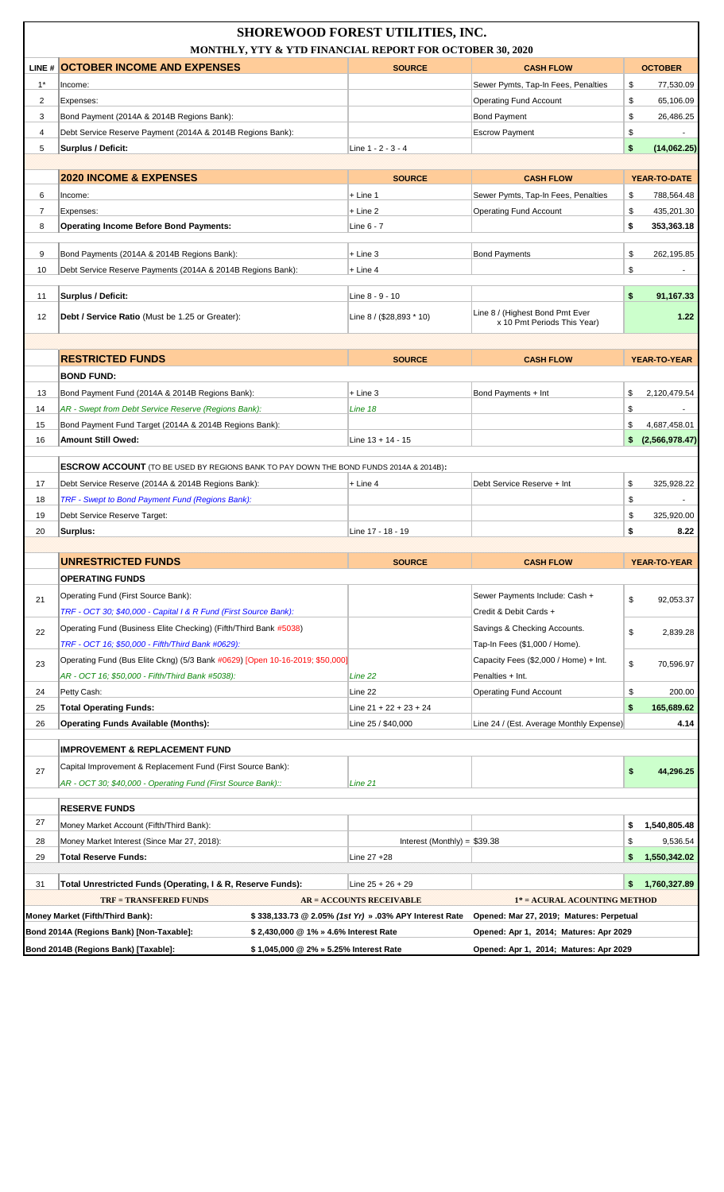|                | <b>SHOREWOOD FOREST UTILITIES, INC.</b><br>MONTHLY, YTY & YTD FINANCIAL REPORT FOR OCTOBER 30, 2020 |                                                        |                                                                |          |                    |  |
|----------------|-----------------------------------------------------------------------------------------------------|--------------------------------------------------------|----------------------------------------------------------------|----------|--------------------|--|
|                | LINE # OCTOBER INCOME AND EXPENSES                                                                  | <b>SOURCE</b>                                          | <b>CASH FLOW</b>                                               |          | <b>OCTOBER</b>     |  |
| $1^*$          | Income:                                                                                             |                                                        | Sewer Pymts, Tap-In Fees, Penalties                            | \$       | 77,530.09          |  |
| 2              | Expenses:                                                                                           |                                                        | <b>Operating Fund Account</b>                                  | \$       | 65,106.09          |  |
| 3              | Bond Payment (2014A & 2014B Regions Bank):                                                          |                                                        | <b>Bond Payment</b>                                            | \$       | 26,486.25          |  |
| 4              | Debt Service Reserve Payment (2014A & 2014B Regions Bank):                                          |                                                        | <b>Escrow Payment</b>                                          | \$       |                    |  |
| 5              | Surplus / Deficit:                                                                                  | Line 1 - 2 - 3 - 4                                     |                                                                | \$       | (14,062.25)        |  |
|                |                                                                                                     |                                                        |                                                                |          |                    |  |
|                | <b>2020 INCOME &amp; EXPENSES</b>                                                                   | <b>SOURCE</b>                                          | <b>CASH FLOW</b>                                               |          | YEAR-TO-DATE       |  |
| 6              | Income:                                                                                             | $+$ Line 1                                             | Sewer Pymts, Tap-In Fees, Penalties                            | \$       | 788,564.48         |  |
| $\overline{7}$ | Expenses:                                                                                           | + Line 2                                               | <b>Operating Fund Account</b>                                  | \$       | 435,201.30         |  |
| 8              | <b>Operating Income Before Bond Payments:</b>                                                       | Line 6 - 7                                             |                                                                | \$       | 353,363.18         |  |
| 9              | Bond Payments (2014A & 2014B Regions Bank):                                                         | $+$ Line 3                                             | <b>Bond Payments</b>                                           | \$       | 262.195.85         |  |
| 10             | Debt Service Reserve Payments (2014A & 2014B Regions Bank):                                         | $+$ Line 4                                             |                                                                | \$       |                    |  |
| 11             | Surplus / Deficit:                                                                                  | Line 8 - 9 - 10                                        |                                                                | \$       | 91,167.33          |  |
| 12             | Debt / Service Ratio (Must be 1.25 or Greater):                                                     | Line 8 / (\$28,893 * 10)                               | Line 8 / (Highest Bond Pmt Ever<br>x 10 Pmt Periods This Year) |          | 1.22               |  |
|                |                                                                                                     |                                                        |                                                                |          |                    |  |
|                | <b>RESTRICTED FUNDS</b>                                                                             | <b>SOURCE</b>                                          | <b>CASH FLOW</b>                                               |          | YEAR-TO-YEAR       |  |
|                | <b>BOND FUND:</b>                                                                                   |                                                        |                                                                |          |                    |  |
| 13             | Bond Payment Fund (2014A & 2014B Regions Bank):                                                     | $+$ Line 3                                             | Bond Payments + Int                                            | \$       | 2,120,479.54       |  |
| 14             | AR - Swept from Debt Service Reserve (Regions Bank):                                                | Line 18                                                |                                                                | \$       |                    |  |
| 15             | Bond Payment Fund Target (2014A & 2014B Regions Bank):                                              |                                                        |                                                                | \$       | 4,687,458.01       |  |
| 16             | <b>Amount Still Owed:</b>                                                                           | Line $13 + 14 - 15$                                    |                                                                | \$.      | (2,566,978.47)     |  |
|                |                                                                                                     |                                                        |                                                                |          |                    |  |
|                | <b>ESCROW ACCOUNT</b> (TO BE USED BY REGIONS BANK TO PAY DOWN THE BOND FUNDS 2014A & 2014B):        |                                                        |                                                                |          |                    |  |
| 17             | Debt Service Reserve (2014A & 2014B Regions Bank):                                                  | + Line 4                                               | Debt Service Reserve + Int                                     | \$       | 325,928.22         |  |
| 18             | TRF - Swept to Bond Payment Fund (Regions Bank):                                                    |                                                        |                                                                | \$       | $\blacksquare$     |  |
| 19<br>20       | Debt Service Reserve Target:<br>Surplus:                                                            | Line 17 - 18 - 19                                      |                                                                | \$<br>\$ | 325,920.00<br>8.22 |  |
|                |                                                                                                     |                                                        |                                                                |          |                    |  |
|                | <b>UNRESTRICTED FUNDS</b>                                                                           | <b>SOURCE</b>                                          | <b>CASH FLOW</b>                                               |          | YEAR-TO-YEAR       |  |
|                | <b>OPERATING FUNDS</b>                                                                              |                                                        |                                                                |          |                    |  |
| 21             | Operating Fund (First Source Bank):                                                                 |                                                        | Sewer Payments Include: Cash +                                 | \$       |                    |  |
|                | TRF - OCT 30; \$40,000 - Capital I & R Fund (First Source Bank):                                    |                                                        | Credit & Debit Cards +                                         |          | 92,053.37          |  |
| 22             | Operating Fund (Business Elite Checking) (Fifth/Third Bank #5038)                                   |                                                        | Savings & Checking Accounts.                                   | \$       | 2,839.28           |  |
|                | TRF - OCT 16; \$50,000 - Fifth/Third Bank #0629):                                                   |                                                        | Tap-In Fees (\$1,000 / Home).                                  |          |                    |  |
| 23             | Operating Fund (Bus Elite Ckng) (5/3 Bank #0629) [Open 10-16-2019; \$50,000]                        |                                                        | Capacity Fees (\$2,000 / Home) + Int.                          | \$       | 70,596.97          |  |
|                | AR - OCT 16; \$50,000 - Fifth/Third Bank #5038):                                                    | Line 22                                                | Penalties + Int.                                               |          |                    |  |
| 24             | Petty Cash:                                                                                         | Line 22                                                | <b>Operating Fund Account</b>                                  | \$       | 200.00             |  |
| 25             | <b>Total Operating Funds:</b>                                                                       | Line $21 + 22 + 23 + 24$                               |                                                                | \$       | 165,689.62         |  |
| 26             | <b>Operating Funds Available (Months):</b>                                                          | Line 25 / \$40,000                                     | Line 24 / (Est. Average Monthly Expense)                       |          | 4.14               |  |
|                | <b>IMPROVEMENT &amp; REPLACEMENT FUND</b>                                                           |                                                        |                                                                |          |                    |  |
| 27             | Capital Improvement & Replacement Fund (First Source Bank):                                         |                                                        |                                                                |          |                    |  |
|                | AR - OCT 30; \$40,000 - Operating Fund (First Source Bank)::                                        | Line 21                                                |                                                                | \$       | 44,296.25          |  |
|                | <b>RESERVE FUNDS</b>                                                                                |                                                        |                                                                |          |                    |  |
| 27             | Money Market Account (Fifth/Third Bank):                                                            |                                                        |                                                                | \$       | 1,540,805.48       |  |
| 28             | Money Market Interest (Since Mar 27, 2018):                                                         | Interest (Monthly) = $$39.38$                          |                                                                | \$       | 9,536.54           |  |
| 29             | <b>Total Reserve Funds:</b>                                                                         | Line 27 +28                                            |                                                                | \$       | 1,550,342.02       |  |
|                |                                                                                                     |                                                        |                                                                |          |                    |  |
| 31             | Total Unrestricted Funds (Operating, I & R, Reserve Funds):                                         | Line $25 + 26 + 29$                                    |                                                                | \$       | 1,760,327.89       |  |
|                | <b>TRF = TRANSFERED FUNDS</b>                                                                       | <b>AR = ACCOUNTS RECEIVABLE</b>                        | 1* = ACURAL ACOUNTING METHOD                                   |          |                    |  |
|                | Money Market (Fifth/Third Bank):                                                                    | \$338,133.73 @ 2.05% (1st Yr) » .03% APY Interest Rate | Opened: Mar 27, 2019; Matures: Perpetual                       |          |                    |  |
|                | Bond 2014A (Regions Bank) [Non-Taxable]:<br>\$ 2,430,000 @ 1% » 4.6% Interest Rate                  |                                                        | Opened: Apr 1, 2014; Matures: Apr 2029                         |          |                    |  |
|                | Bond 2014B (Regions Bank) [Taxable]:<br>\$1,045,000 @ 2% » 5.25% Interest Rate                      |                                                        | Opened: Apr 1, 2014; Matures: Apr 2029                         |          |                    |  |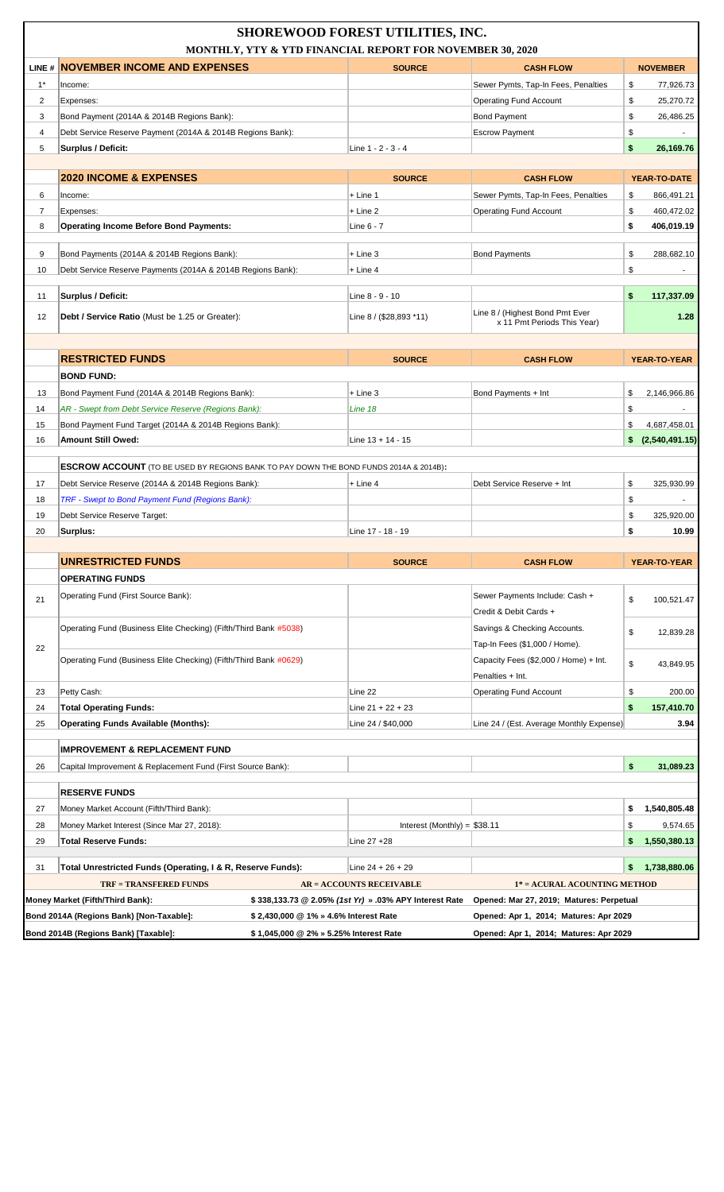| LINE # NOVEMBER INCOME AND EXPENSES<br><b>SOURCE</b><br><b>NOVEMBER</b><br><b>CASH FLOW</b><br>$1^*$<br>Sewer Pymts, Tap-In Fees, Penalties<br>\$<br>77,926.73<br>Income:<br>2<br>\$<br><b>Operating Fund Account</b><br>25,270.72<br>Expenses:<br>\$<br>3<br>Bond Payment (2014A & 2014B Regions Bank):<br><b>Bond Payment</b><br>26,486.25<br>\$<br>4<br>Debt Service Reserve Payment (2014A & 2014B Regions Bank):<br><b>Escrow Payment</b><br>\$<br>5<br>Surplus / Deficit:<br>Line 1 - 2 - 3 - 4<br>26,169.76<br><b>2020 INCOME &amp; EXPENSES</b><br><b>SOURCE</b><br><b>CASH FLOW</b><br>YEAR-TO-DATE<br>6<br>$+$ Line 1<br>Sewer Pymts, Tap-In Fees, Penalties<br>\$<br>866,491.21<br>Income:<br>\$<br>$\overline{7}$<br>$+$ Line 2<br><b>Operating Fund Account</b><br>460,472.02<br>Expenses:<br><b>Operating Income Before Bond Payments:</b><br>\$<br>406,019.19<br>8<br>Line 6 - 7<br>\$<br>9<br>Bond Payments (2014A & 2014B Regions Bank):<br>$+$ Line 3<br><b>Bond Payments</b><br>288.682.10<br>Debt Service Reserve Payments (2014A & 2014B Regions Bank):<br>\$<br>10<br>$+$ Line 4<br>Surplus / Deficit:<br>\$<br>117,337.09<br>11<br>Line 8 - 9 - 10<br>Line 8 / (Highest Bond Pmt Ever<br>12<br>Line 8 / (\$28,893 *11)<br>1.28<br><b>Debt / Service Ratio</b> (Must be 1.25 or Greater):<br>x 11 Pmt Periods This Year)<br><b>RESTRICTED FUNDS</b><br><b>SOURCE</b><br><b>CASH FLOW</b><br>YEAR-TO-YEAR<br><b>BOND FUND:</b><br>13<br>Bond Payment Fund (2014A & 2014B Regions Bank):<br>$+$ Line 3<br>Bond Payments + Int<br>\$<br>2,146,966.86<br>14<br>AR - Swept from Debt Service Reserve (Regions Bank):<br>Line 18<br>\$<br>15<br>Bond Payment Fund Target (2014A & 2014B Regions Bank):<br>\$<br>4,687,458.01<br><b>Amount Still Owed:</b><br>(2,540,491.15)<br>16<br>Line $13 + 14 - 15$<br>\$<br><b>ESCROW ACCOUNT</b> (TO BE USED BY REGIONS BANK TO PAY DOWN THE BOND FUNDS 2014A & 2014B):<br>17<br>Debt Service Reserve (2014A & 2014B Regions Bank):<br>Debt Service Reserve + Int<br>\$<br>325,930.99<br>$+$ Line 4<br>TRF - Swept to Bond Payment Fund (Regions Bank):<br>18<br>\$<br>\$<br>19<br>Debt Service Reserve Target:<br>325,920.00<br>\$<br>20<br>Surplus:<br>Line 17 - 18 - 19<br>10.99<br><b>UNRESTRICTED FUNDS</b><br><b>SOURCE</b><br><b>CASH FLOW</b><br>YEAR-TO-YEAR<br><b>OPERATING FUNDS</b><br>Operating Fund (First Source Bank):<br>Sewer Payments Include: Cash +<br>\$<br>21<br>100,521.47<br>Credit & Debit Cards +<br>Operating Fund (Business Elite Checking) (Fifth/Third Bank #5038)<br>Savings & Checking Accounts.<br>\$<br>12,839.28<br>Tap-In Fees (\$1,000 / Home).<br>22<br>Operating Fund (Business Elite Checking) (Fifth/Third Bank #0629)<br>Capacity Fees (\$2,000 / Home) + Int.<br>\$<br>43,849.95<br>Penalties + Int.<br>Petty Cash:<br>Line 22<br><b>Operating Fund Account</b><br>\$<br>200.00<br>23<br>\$<br><b>Total Operating Funds:</b><br>Line $21 + 22 + 23$<br>157,410.70<br>24<br><b>Operating Funds Available (Months):</b><br>25<br>Line 24 / \$40,000<br>Line 24 / (Est. Average Monthly Expense)<br>3.94<br><b>IMPROVEMENT &amp; REPLACEMENT FUND</b><br>\$<br>31,089.23<br>26<br>Capital Improvement & Replacement Fund (First Source Bank):<br><b>RESERVE FUNDS</b><br>27<br>Money Market Account (Fifth/Third Bank):<br>\$<br>1,540,805.48<br>28<br>Money Market Interest (Since Mar 27, 2018):<br>Interest (Monthly) = $$38.11$<br>\$<br>9,574.65<br>\$<br>1,550,380.13<br><b>Total Reserve Funds:</b><br>Line 27 +28<br>29<br>1,738,880.06<br>Total Unrestricted Funds (Operating, I & R, Reserve Funds):<br>\$<br>31<br>Line $24 + 26 + 29$<br><b>TRF = TRANSFERED FUNDS</b><br>1* = ACURAL ACOUNTING METHOD<br><b>AR = ACCOUNTS RECEIVABLE</b><br>Money Market (Fifth/Third Bank):<br>\$338,133.73 @ 2.05% (1st Yr) » .03% APY Interest Rate<br>Opened: Mar 27, 2019; Matures: Perpetual<br>Bond 2014A (Regions Bank) [Non-Taxable]:<br>Opened: Apr 1, 2014; Matures: Apr 2029<br>\$2,430,000 @ 1% » 4.6% Interest Rate<br>Bond 2014B (Regions Bank) [Taxable]:<br>\$1,045,000 @ 2% » 5.25% Interest Rate | <b>SHOREWOOD FOREST UTILITIES, INC.</b><br>MONTHLY, YTY & YTD FINANCIAL REPORT FOR NOVEMBER 30, 2020 |  |                                        |  |  |  |
|------------------------------------------------------------------------------------------------------------------------------------------------------------------------------------------------------------------------------------------------------------------------------------------------------------------------------------------------------------------------------------------------------------------------------------------------------------------------------------------------------------------------------------------------------------------------------------------------------------------------------------------------------------------------------------------------------------------------------------------------------------------------------------------------------------------------------------------------------------------------------------------------------------------------------------------------------------------------------------------------------------------------------------------------------------------------------------------------------------------------------------------------------------------------------------------------------------------------------------------------------------------------------------------------------------------------------------------------------------------------------------------------------------------------------------------------------------------------------------------------------------------------------------------------------------------------------------------------------------------------------------------------------------------------------------------------------------------------------------------------------------------------------------------------------------------------------------------------------------------------------------------------------------------------------------------------------------------------------------------------------------------------------------------------------------------------------------------------------------------------------------------------------------------------------------------------------------------------------------------------------------------------------------------------------------------------------------------------------------------------------------------------------------------------------------------------------------------------------------------------------------------------------------------------------------------------------------------------------------------------------------------------------------------------------------------------------------------------------------------------------------------------------------------------------------------------------------------------------------------------------------------------------------------------------------------------------------------------------------------------------------------------------------------------------------------------------------------------------------------------------------------------------------------------------------------------------------------------------------------------------------------------------------------------------------------------------------------------------------------------------------------------------------------------------------------------------------------------------------------------------------------------------------------------------------------------------------------------------------------------------------------------------------------------------------------------------------------------------------------------------------------------------------------------------------------------------------------------------------------------------------------------------------------------------------------------------------------------------------------------------------------------------------------------------------------------------------------------------------------|------------------------------------------------------------------------------------------------------|--|----------------------------------------|--|--|--|
|                                                                                                                                                                                                                                                                                                                                                                                                                                                                                                                                                                                                                                                                                                                                                                                                                                                                                                                                                                                                                                                                                                                                                                                                                                                                                                                                                                                                                                                                                                                                                                                                                                                                                                                                                                                                                                                                                                                                                                                                                                                                                                                                                                                                                                                                                                                                                                                                                                                                                                                                                                                                                                                                                                                                                                                                                                                                                                                                                                                                                                                                                                                                                                                                                                                                                                                                                                                                                                                                                                                                                                                                                                                                                                                                                                                                                                                                                                                                                                                                                                                                                                                  |                                                                                                      |  |                                        |  |  |  |
|                                                                                                                                                                                                                                                                                                                                                                                                                                                                                                                                                                                                                                                                                                                                                                                                                                                                                                                                                                                                                                                                                                                                                                                                                                                                                                                                                                                                                                                                                                                                                                                                                                                                                                                                                                                                                                                                                                                                                                                                                                                                                                                                                                                                                                                                                                                                                                                                                                                                                                                                                                                                                                                                                                                                                                                                                                                                                                                                                                                                                                                                                                                                                                                                                                                                                                                                                                                                                                                                                                                                                                                                                                                                                                                                                                                                                                                                                                                                                                                                                                                                                                                  |                                                                                                      |  |                                        |  |  |  |
|                                                                                                                                                                                                                                                                                                                                                                                                                                                                                                                                                                                                                                                                                                                                                                                                                                                                                                                                                                                                                                                                                                                                                                                                                                                                                                                                                                                                                                                                                                                                                                                                                                                                                                                                                                                                                                                                                                                                                                                                                                                                                                                                                                                                                                                                                                                                                                                                                                                                                                                                                                                                                                                                                                                                                                                                                                                                                                                                                                                                                                                                                                                                                                                                                                                                                                                                                                                                                                                                                                                                                                                                                                                                                                                                                                                                                                                                                                                                                                                                                                                                                                                  |                                                                                                      |  |                                        |  |  |  |
|                                                                                                                                                                                                                                                                                                                                                                                                                                                                                                                                                                                                                                                                                                                                                                                                                                                                                                                                                                                                                                                                                                                                                                                                                                                                                                                                                                                                                                                                                                                                                                                                                                                                                                                                                                                                                                                                                                                                                                                                                                                                                                                                                                                                                                                                                                                                                                                                                                                                                                                                                                                                                                                                                                                                                                                                                                                                                                                                                                                                                                                                                                                                                                                                                                                                                                                                                                                                                                                                                                                                                                                                                                                                                                                                                                                                                                                                                                                                                                                                                                                                                                                  |                                                                                                      |  |                                        |  |  |  |
|                                                                                                                                                                                                                                                                                                                                                                                                                                                                                                                                                                                                                                                                                                                                                                                                                                                                                                                                                                                                                                                                                                                                                                                                                                                                                                                                                                                                                                                                                                                                                                                                                                                                                                                                                                                                                                                                                                                                                                                                                                                                                                                                                                                                                                                                                                                                                                                                                                                                                                                                                                                                                                                                                                                                                                                                                                                                                                                                                                                                                                                                                                                                                                                                                                                                                                                                                                                                                                                                                                                                                                                                                                                                                                                                                                                                                                                                                                                                                                                                                                                                                                                  |                                                                                                      |  |                                        |  |  |  |
|                                                                                                                                                                                                                                                                                                                                                                                                                                                                                                                                                                                                                                                                                                                                                                                                                                                                                                                                                                                                                                                                                                                                                                                                                                                                                                                                                                                                                                                                                                                                                                                                                                                                                                                                                                                                                                                                                                                                                                                                                                                                                                                                                                                                                                                                                                                                                                                                                                                                                                                                                                                                                                                                                                                                                                                                                                                                                                                                                                                                                                                                                                                                                                                                                                                                                                                                                                                                                                                                                                                                                                                                                                                                                                                                                                                                                                                                                                                                                                                                                                                                                                                  |                                                                                                      |  |                                        |  |  |  |
|                                                                                                                                                                                                                                                                                                                                                                                                                                                                                                                                                                                                                                                                                                                                                                                                                                                                                                                                                                                                                                                                                                                                                                                                                                                                                                                                                                                                                                                                                                                                                                                                                                                                                                                                                                                                                                                                                                                                                                                                                                                                                                                                                                                                                                                                                                                                                                                                                                                                                                                                                                                                                                                                                                                                                                                                                                                                                                                                                                                                                                                                                                                                                                                                                                                                                                                                                                                                                                                                                                                                                                                                                                                                                                                                                                                                                                                                                                                                                                                                                                                                                                                  |                                                                                                      |  |                                        |  |  |  |
|                                                                                                                                                                                                                                                                                                                                                                                                                                                                                                                                                                                                                                                                                                                                                                                                                                                                                                                                                                                                                                                                                                                                                                                                                                                                                                                                                                                                                                                                                                                                                                                                                                                                                                                                                                                                                                                                                                                                                                                                                                                                                                                                                                                                                                                                                                                                                                                                                                                                                                                                                                                                                                                                                                                                                                                                                                                                                                                                                                                                                                                                                                                                                                                                                                                                                                                                                                                                                                                                                                                                                                                                                                                                                                                                                                                                                                                                                                                                                                                                                                                                                                                  |                                                                                                      |  |                                        |  |  |  |
|                                                                                                                                                                                                                                                                                                                                                                                                                                                                                                                                                                                                                                                                                                                                                                                                                                                                                                                                                                                                                                                                                                                                                                                                                                                                                                                                                                                                                                                                                                                                                                                                                                                                                                                                                                                                                                                                                                                                                                                                                                                                                                                                                                                                                                                                                                                                                                                                                                                                                                                                                                                                                                                                                                                                                                                                                                                                                                                                                                                                                                                                                                                                                                                                                                                                                                                                                                                                                                                                                                                                                                                                                                                                                                                                                                                                                                                                                                                                                                                                                                                                                                                  |                                                                                                      |  |                                        |  |  |  |
|                                                                                                                                                                                                                                                                                                                                                                                                                                                                                                                                                                                                                                                                                                                                                                                                                                                                                                                                                                                                                                                                                                                                                                                                                                                                                                                                                                                                                                                                                                                                                                                                                                                                                                                                                                                                                                                                                                                                                                                                                                                                                                                                                                                                                                                                                                                                                                                                                                                                                                                                                                                                                                                                                                                                                                                                                                                                                                                                                                                                                                                                                                                                                                                                                                                                                                                                                                                                                                                                                                                                                                                                                                                                                                                                                                                                                                                                                                                                                                                                                                                                                                                  |                                                                                                      |  |                                        |  |  |  |
|                                                                                                                                                                                                                                                                                                                                                                                                                                                                                                                                                                                                                                                                                                                                                                                                                                                                                                                                                                                                                                                                                                                                                                                                                                                                                                                                                                                                                                                                                                                                                                                                                                                                                                                                                                                                                                                                                                                                                                                                                                                                                                                                                                                                                                                                                                                                                                                                                                                                                                                                                                                                                                                                                                                                                                                                                                                                                                                                                                                                                                                                                                                                                                                                                                                                                                                                                                                                                                                                                                                                                                                                                                                                                                                                                                                                                                                                                                                                                                                                                                                                                                                  |                                                                                                      |  |                                        |  |  |  |
|                                                                                                                                                                                                                                                                                                                                                                                                                                                                                                                                                                                                                                                                                                                                                                                                                                                                                                                                                                                                                                                                                                                                                                                                                                                                                                                                                                                                                                                                                                                                                                                                                                                                                                                                                                                                                                                                                                                                                                                                                                                                                                                                                                                                                                                                                                                                                                                                                                                                                                                                                                                                                                                                                                                                                                                                                                                                                                                                                                                                                                                                                                                                                                                                                                                                                                                                                                                                                                                                                                                                                                                                                                                                                                                                                                                                                                                                                                                                                                                                                                                                                                                  |                                                                                                      |  |                                        |  |  |  |
|                                                                                                                                                                                                                                                                                                                                                                                                                                                                                                                                                                                                                                                                                                                                                                                                                                                                                                                                                                                                                                                                                                                                                                                                                                                                                                                                                                                                                                                                                                                                                                                                                                                                                                                                                                                                                                                                                                                                                                                                                                                                                                                                                                                                                                                                                                                                                                                                                                                                                                                                                                                                                                                                                                                                                                                                                                                                                                                                                                                                                                                                                                                                                                                                                                                                                                                                                                                                                                                                                                                                                                                                                                                                                                                                                                                                                                                                                                                                                                                                                                                                                                                  |                                                                                                      |  |                                        |  |  |  |
|                                                                                                                                                                                                                                                                                                                                                                                                                                                                                                                                                                                                                                                                                                                                                                                                                                                                                                                                                                                                                                                                                                                                                                                                                                                                                                                                                                                                                                                                                                                                                                                                                                                                                                                                                                                                                                                                                                                                                                                                                                                                                                                                                                                                                                                                                                                                                                                                                                                                                                                                                                                                                                                                                                                                                                                                                                                                                                                                                                                                                                                                                                                                                                                                                                                                                                                                                                                                                                                                                                                                                                                                                                                                                                                                                                                                                                                                                                                                                                                                                                                                                                                  |                                                                                                      |  |                                        |  |  |  |
|                                                                                                                                                                                                                                                                                                                                                                                                                                                                                                                                                                                                                                                                                                                                                                                                                                                                                                                                                                                                                                                                                                                                                                                                                                                                                                                                                                                                                                                                                                                                                                                                                                                                                                                                                                                                                                                                                                                                                                                                                                                                                                                                                                                                                                                                                                                                                                                                                                                                                                                                                                                                                                                                                                                                                                                                                                                                                                                                                                                                                                                                                                                                                                                                                                                                                                                                                                                                                                                                                                                                                                                                                                                                                                                                                                                                                                                                                                                                                                                                                                                                                                                  |                                                                                                      |  |                                        |  |  |  |
|                                                                                                                                                                                                                                                                                                                                                                                                                                                                                                                                                                                                                                                                                                                                                                                                                                                                                                                                                                                                                                                                                                                                                                                                                                                                                                                                                                                                                                                                                                                                                                                                                                                                                                                                                                                                                                                                                                                                                                                                                                                                                                                                                                                                                                                                                                                                                                                                                                                                                                                                                                                                                                                                                                                                                                                                                                                                                                                                                                                                                                                                                                                                                                                                                                                                                                                                                                                                                                                                                                                                                                                                                                                                                                                                                                                                                                                                                                                                                                                                                                                                                                                  |                                                                                                      |  |                                        |  |  |  |
|                                                                                                                                                                                                                                                                                                                                                                                                                                                                                                                                                                                                                                                                                                                                                                                                                                                                                                                                                                                                                                                                                                                                                                                                                                                                                                                                                                                                                                                                                                                                                                                                                                                                                                                                                                                                                                                                                                                                                                                                                                                                                                                                                                                                                                                                                                                                                                                                                                                                                                                                                                                                                                                                                                                                                                                                                                                                                                                                                                                                                                                                                                                                                                                                                                                                                                                                                                                                                                                                                                                                                                                                                                                                                                                                                                                                                                                                                                                                                                                                                                                                                                                  |                                                                                                      |  |                                        |  |  |  |
|                                                                                                                                                                                                                                                                                                                                                                                                                                                                                                                                                                                                                                                                                                                                                                                                                                                                                                                                                                                                                                                                                                                                                                                                                                                                                                                                                                                                                                                                                                                                                                                                                                                                                                                                                                                                                                                                                                                                                                                                                                                                                                                                                                                                                                                                                                                                                                                                                                                                                                                                                                                                                                                                                                                                                                                                                                                                                                                                                                                                                                                                                                                                                                                                                                                                                                                                                                                                                                                                                                                                                                                                                                                                                                                                                                                                                                                                                                                                                                                                                                                                                                                  |                                                                                                      |  |                                        |  |  |  |
|                                                                                                                                                                                                                                                                                                                                                                                                                                                                                                                                                                                                                                                                                                                                                                                                                                                                                                                                                                                                                                                                                                                                                                                                                                                                                                                                                                                                                                                                                                                                                                                                                                                                                                                                                                                                                                                                                                                                                                                                                                                                                                                                                                                                                                                                                                                                                                                                                                                                                                                                                                                                                                                                                                                                                                                                                                                                                                                                                                                                                                                                                                                                                                                                                                                                                                                                                                                                                                                                                                                                                                                                                                                                                                                                                                                                                                                                                                                                                                                                                                                                                                                  |                                                                                                      |  |                                        |  |  |  |
|                                                                                                                                                                                                                                                                                                                                                                                                                                                                                                                                                                                                                                                                                                                                                                                                                                                                                                                                                                                                                                                                                                                                                                                                                                                                                                                                                                                                                                                                                                                                                                                                                                                                                                                                                                                                                                                                                                                                                                                                                                                                                                                                                                                                                                                                                                                                                                                                                                                                                                                                                                                                                                                                                                                                                                                                                                                                                                                                                                                                                                                                                                                                                                                                                                                                                                                                                                                                                                                                                                                                                                                                                                                                                                                                                                                                                                                                                                                                                                                                                                                                                                                  |                                                                                                      |  |                                        |  |  |  |
|                                                                                                                                                                                                                                                                                                                                                                                                                                                                                                                                                                                                                                                                                                                                                                                                                                                                                                                                                                                                                                                                                                                                                                                                                                                                                                                                                                                                                                                                                                                                                                                                                                                                                                                                                                                                                                                                                                                                                                                                                                                                                                                                                                                                                                                                                                                                                                                                                                                                                                                                                                                                                                                                                                                                                                                                                                                                                                                                                                                                                                                                                                                                                                                                                                                                                                                                                                                                                                                                                                                                                                                                                                                                                                                                                                                                                                                                                                                                                                                                                                                                                                                  |                                                                                                      |  |                                        |  |  |  |
|                                                                                                                                                                                                                                                                                                                                                                                                                                                                                                                                                                                                                                                                                                                                                                                                                                                                                                                                                                                                                                                                                                                                                                                                                                                                                                                                                                                                                                                                                                                                                                                                                                                                                                                                                                                                                                                                                                                                                                                                                                                                                                                                                                                                                                                                                                                                                                                                                                                                                                                                                                                                                                                                                                                                                                                                                                                                                                                                                                                                                                                                                                                                                                                                                                                                                                                                                                                                                                                                                                                                                                                                                                                                                                                                                                                                                                                                                                                                                                                                                                                                                                                  |                                                                                                      |  |                                        |  |  |  |
|                                                                                                                                                                                                                                                                                                                                                                                                                                                                                                                                                                                                                                                                                                                                                                                                                                                                                                                                                                                                                                                                                                                                                                                                                                                                                                                                                                                                                                                                                                                                                                                                                                                                                                                                                                                                                                                                                                                                                                                                                                                                                                                                                                                                                                                                                                                                                                                                                                                                                                                                                                                                                                                                                                                                                                                                                                                                                                                                                                                                                                                                                                                                                                                                                                                                                                                                                                                                                                                                                                                                                                                                                                                                                                                                                                                                                                                                                                                                                                                                                                                                                                                  |                                                                                                      |  |                                        |  |  |  |
|                                                                                                                                                                                                                                                                                                                                                                                                                                                                                                                                                                                                                                                                                                                                                                                                                                                                                                                                                                                                                                                                                                                                                                                                                                                                                                                                                                                                                                                                                                                                                                                                                                                                                                                                                                                                                                                                                                                                                                                                                                                                                                                                                                                                                                                                                                                                                                                                                                                                                                                                                                                                                                                                                                                                                                                                                                                                                                                                                                                                                                                                                                                                                                                                                                                                                                                                                                                                                                                                                                                                                                                                                                                                                                                                                                                                                                                                                                                                                                                                                                                                                                                  |                                                                                                      |  |                                        |  |  |  |
|                                                                                                                                                                                                                                                                                                                                                                                                                                                                                                                                                                                                                                                                                                                                                                                                                                                                                                                                                                                                                                                                                                                                                                                                                                                                                                                                                                                                                                                                                                                                                                                                                                                                                                                                                                                                                                                                                                                                                                                                                                                                                                                                                                                                                                                                                                                                                                                                                                                                                                                                                                                                                                                                                                                                                                                                                                                                                                                                                                                                                                                                                                                                                                                                                                                                                                                                                                                                                                                                                                                                                                                                                                                                                                                                                                                                                                                                                                                                                                                                                                                                                                                  |                                                                                                      |  |                                        |  |  |  |
|                                                                                                                                                                                                                                                                                                                                                                                                                                                                                                                                                                                                                                                                                                                                                                                                                                                                                                                                                                                                                                                                                                                                                                                                                                                                                                                                                                                                                                                                                                                                                                                                                                                                                                                                                                                                                                                                                                                                                                                                                                                                                                                                                                                                                                                                                                                                                                                                                                                                                                                                                                                                                                                                                                                                                                                                                                                                                                                                                                                                                                                                                                                                                                                                                                                                                                                                                                                                                                                                                                                                                                                                                                                                                                                                                                                                                                                                                                                                                                                                                                                                                                                  |                                                                                                      |  |                                        |  |  |  |
|                                                                                                                                                                                                                                                                                                                                                                                                                                                                                                                                                                                                                                                                                                                                                                                                                                                                                                                                                                                                                                                                                                                                                                                                                                                                                                                                                                                                                                                                                                                                                                                                                                                                                                                                                                                                                                                                                                                                                                                                                                                                                                                                                                                                                                                                                                                                                                                                                                                                                                                                                                                                                                                                                                                                                                                                                                                                                                                                                                                                                                                                                                                                                                                                                                                                                                                                                                                                                                                                                                                                                                                                                                                                                                                                                                                                                                                                                                                                                                                                                                                                                                                  |                                                                                                      |  |                                        |  |  |  |
|                                                                                                                                                                                                                                                                                                                                                                                                                                                                                                                                                                                                                                                                                                                                                                                                                                                                                                                                                                                                                                                                                                                                                                                                                                                                                                                                                                                                                                                                                                                                                                                                                                                                                                                                                                                                                                                                                                                                                                                                                                                                                                                                                                                                                                                                                                                                                                                                                                                                                                                                                                                                                                                                                                                                                                                                                                                                                                                                                                                                                                                                                                                                                                                                                                                                                                                                                                                                                                                                                                                                                                                                                                                                                                                                                                                                                                                                                                                                                                                                                                                                                                                  |                                                                                                      |  |                                        |  |  |  |
|                                                                                                                                                                                                                                                                                                                                                                                                                                                                                                                                                                                                                                                                                                                                                                                                                                                                                                                                                                                                                                                                                                                                                                                                                                                                                                                                                                                                                                                                                                                                                                                                                                                                                                                                                                                                                                                                                                                                                                                                                                                                                                                                                                                                                                                                                                                                                                                                                                                                                                                                                                                                                                                                                                                                                                                                                                                                                                                                                                                                                                                                                                                                                                                                                                                                                                                                                                                                                                                                                                                                                                                                                                                                                                                                                                                                                                                                                                                                                                                                                                                                                                                  |                                                                                                      |  |                                        |  |  |  |
|                                                                                                                                                                                                                                                                                                                                                                                                                                                                                                                                                                                                                                                                                                                                                                                                                                                                                                                                                                                                                                                                                                                                                                                                                                                                                                                                                                                                                                                                                                                                                                                                                                                                                                                                                                                                                                                                                                                                                                                                                                                                                                                                                                                                                                                                                                                                                                                                                                                                                                                                                                                                                                                                                                                                                                                                                                                                                                                                                                                                                                                                                                                                                                                                                                                                                                                                                                                                                                                                                                                                                                                                                                                                                                                                                                                                                                                                                                                                                                                                                                                                                                                  |                                                                                                      |  |                                        |  |  |  |
|                                                                                                                                                                                                                                                                                                                                                                                                                                                                                                                                                                                                                                                                                                                                                                                                                                                                                                                                                                                                                                                                                                                                                                                                                                                                                                                                                                                                                                                                                                                                                                                                                                                                                                                                                                                                                                                                                                                                                                                                                                                                                                                                                                                                                                                                                                                                                                                                                                                                                                                                                                                                                                                                                                                                                                                                                                                                                                                                                                                                                                                                                                                                                                                                                                                                                                                                                                                                                                                                                                                                                                                                                                                                                                                                                                                                                                                                                                                                                                                                                                                                                                                  |                                                                                                      |  |                                        |  |  |  |
|                                                                                                                                                                                                                                                                                                                                                                                                                                                                                                                                                                                                                                                                                                                                                                                                                                                                                                                                                                                                                                                                                                                                                                                                                                                                                                                                                                                                                                                                                                                                                                                                                                                                                                                                                                                                                                                                                                                                                                                                                                                                                                                                                                                                                                                                                                                                                                                                                                                                                                                                                                                                                                                                                                                                                                                                                                                                                                                                                                                                                                                                                                                                                                                                                                                                                                                                                                                                                                                                                                                                                                                                                                                                                                                                                                                                                                                                                                                                                                                                                                                                                                                  |                                                                                                      |  |                                        |  |  |  |
|                                                                                                                                                                                                                                                                                                                                                                                                                                                                                                                                                                                                                                                                                                                                                                                                                                                                                                                                                                                                                                                                                                                                                                                                                                                                                                                                                                                                                                                                                                                                                                                                                                                                                                                                                                                                                                                                                                                                                                                                                                                                                                                                                                                                                                                                                                                                                                                                                                                                                                                                                                                                                                                                                                                                                                                                                                                                                                                                                                                                                                                                                                                                                                                                                                                                                                                                                                                                                                                                                                                                                                                                                                                                                                                                                                                                                                                                                                                                                                                                                                                                                                                  |                                                                                                      |  |                                        |  |  |  |
|                                                                                                                                                                                                                                                                                                                                                                                                                                                                                                                                                                                                                                                                                                                                                                                                                                                                                                                                                                                                                                                                                                                                                                                                                                                                                                                                                                                                                                                                                                                                                                                                                                                                                                                                                                                                                                                                                                                                                                                                                                                                                                                                                                                                                                                                                                                                                                                                                                                                                                                                                                                                                                                                                                                                                                                                                                                                                                                                                                                                                                                                                                                                                                                                                                                                                                                                                                                                                                                                                                                                                                                                                                                                                                                                                                                                                                                                                                                                                                                                                                                                                                                  |                                                                                                      |  |                                        |  |  |  |
|                                                                                                                                                                                                                                                                                                                                                                                                                                                                                                                                                                                                                                                                                                                                                                                                                                                                                                                                                                                                                                                                                                                                                                                                                                                                                                                                                                                                                                                                                                                                                                                                                                                                                                                                                                                                                                                                                                                                                                                                                                                                                                                                                                                                                                                                                                                                                                                                                                                                                                                                                                                                                                                                                                                                                                                                                                                                                                                                                                                                                                                                                                                                                                                                                                                                                                                                                                                                                                                                                                                                                                                                                                                                                                                                                                                                                                                                                                                                                                                                                                                                                                                  |                                                                                                      |  |                                        |  |  |  |
|                                                                                                                                                                                                                                                                                                                                                                                                                                                                                                                                                                                                                                                                                                                                                                                                                                                                                                                                                                                                                                                                                                                                                                                                                                                                                                                                                                                                                                                                                                                                                                                                                                                                                                                                                                                                                                                                                                                                                                                                                                                                                                                                                                                                                                                                                                                                                                                                                                                                                                                                                                                                                                                                                                                                                                                                                                                                                                                                                                                                                                                                                                                                                                                                                                                                                                                                                                                                                                                                                                                                                                                                                                                                                                                                                                                                                                                                                                                                                                                                                                                                                                                  |                                                                                                      |  |                                        |  |  |  |
|                                                                                                                                                                                                                                                                                                                                                                                                                                                                                                                                                                                                                                                                                                                                                                                                                                                                                                                                                                                                                                                                                                                                                                                                                                                                                                                                                                                                                                                                                                                                                                                                                                                                                                                                                                                                                                                                                                                                                                                                                                                                                                                                                                                                                                                                                                                                                                                                                                                                                                                                                                                                                                                                                                                                                                                                                                                                                                                                                                                                                                                                                                                                                                                                                                                                                                                                                                                                                                                                                                                                                                                                                                                                                                                                                                                                                                                                                                                                                                                                                                                                                                                  |                                                                                                      |  |                                        |  |  |  |
|                                                                                                                                                                                                                                                                                                                                                                                                                                                                                                                                                                                                                                                                                                                                                                                                                                                                                                                                                                                                                                                                                                                                                                                                                                                                                                                                                                                                                                                                                                                                                                                                                                                                                                                                                                                                                                                                                                                                                                                                                                                                                                                                                                                                                                                                                                                                                                                                                                                                                                                                                                                                                                                                                                                                                                                                                                                                                                                                                                                                                                                                                                                                                                                                                                                                                                                                                                                                                                                                                                                                                                                                                                                                                                                                                                                                                                                                                                                                                                                                                                                                                                                  |                                                                                                      |  |                                        |  |  |  |
|                                                                                                                                                                                                                                                                                                                                                                                                                                                                                                                                                                                                                                                                                                                                                                                                                                                                                                                                                                                                                                                                                                                                                                                                                                                                                                                                                                                                                                                                                                                                                                                                                                                                                                                                                                                                                                                                                                                                                                                                                                                                                                                                                                                                                                                                                                                                                                                                                                                                                                                                                                                                                                                                                                                                                                                                                                                                                                                                                                                                                                                                                                                                                                                                                                                                                                                                                                                                                                                                                                                                                                                                                                                                                                                                                                                                                                                                                                                                                                                                                                                                                                                  |                                                                                                      |  |                                        |  |  |  |
|                                                                                                                                                                                                                                                                                                                                                                                                                                                                                                                                                                                                                                                                                                                                                                                                                                                                                                                                                                                                                                                                                                                                                                                                                                                                                                                                                                                                                                                                                                                                                                                                                                                                                                                                                                                                                                                                                                                                                                                                                                                                                                                                                                                                                                                                                                                                                                                                                                                                                                                                                                                                                                                                                                                                                                                                                                                                                                                                                                                                                                                                                                                                                                                                                                                                                                                                                                                                                                                                                                                                                                                                                                                                                                                                                                                                                                                                                                                                                                                                                                                                                                                  |                                                                                                      |  |                                        |  |  |  |
|                                                                                                                                                                                                                                                                                                                                                                                                                                                                                                                                                                                                                                                                                                                                                                                                                                                                                                                                                                                                                                                                                                                                                                                                                                                                                                                                                                                                                                                                                                                                                                                                                                                                                                                                                                                                                                                                                                                                                                                                                                                                                                                                                                                                                                                                                                                                                                                                                                                                                                                                                                                                                                                                                                                                                                                                                                                                                                                                                                                                                                                                                                                                                                                                                                                                                                                                                                                                                                                                                                                                                                                                                                                                                                                                                                                                                                                                                                                                                                                                                                                                                                                  |                                                                                                      |  |                                        |  |  |  |
|                                                                                                                                                                                                                                                                                                                                                                                                                                                                                                                                                                                                                                                                                                                                                                                                                                                                                                                                                                                                                                                                                                                                                                                                                                                                                                                                                                                                                                                                                                                                                                                                                                                                                                                                                                                                                                                                                                                                                                                                                                                                                                                                                                                                                                                                                                                                                                                                                                                                                                                                                                                                                                                                                                                                                                                                                                                                                                                                                                                                                                                                                                                                                                                                                                                                                                                                                                                                                                                                                                                                                                                                                                                                                                                                                                                                                                                                                                                                                                                                                                                                                                                  |                                                                                                      |  |                                        |  |  |  |
|                                                                                                                                                                                                                                                                                                                                                                                                                                                                                                                                                                                                                                                                                                                                                                                                                                                                                                                                                                                                                                                                                                                                                                                                                                                                                                                                                                                                                                                                                                                                                                                                                                                                                                                                                                                                                                                                                                                                                                                                                                                                                                                                                                                                                                                                                                                                                                                                                                                                                                                                                                                                                                                                                                                                                                                                                                                                                                                                                                                                                                                                                                                                                                                                                                                                                                                                                                                                                                                                                                                                                                                                                                                                                                                                                                                                                                                                                                                                                                                                                                                                                                                  |                                                                                                      |  |                                        |  |  |  |
|                                                                                                                                                                                                                                                                                                                                                                                                                                                                                                                                                                                                                                                                                                                                                                                                                                                                                                                                                                                                                                                                                                                                                                                                                                                                                                                                                                                                                                                                                                                                                                                                                                                                                                                                                                                                                                                                                                                                                                                                                                                                                                                                                                                                                                                                                                                                                                                                                                                                                                                                                                                                                                                                                                                                                                                                                                                                                                                                                                                                                                                                                                                                                                                                                                                                                                                                                                                                                                                                                                                                                                                                                                                                                                                                                                                                                                                                                                                                                                                                                                                                                                                  |                                                                                                      |  |                                        |  |  |  |
|                                                                                                                                                                                                                                                                                                                                                                                                                                                                                                                                                                                                                                                                                                                                                                                                                                                                                                                                                                                                                                                                                                                                                                                                                                                                                                                                                                                                                                                                                                                                                                                                                                                                                                                                                                                                                                                                                                                                                                                                                                                                                                                                                                                                                                                                                                                                                                                                                                                                                                                                                                                                                                                                                                                                                                                                                                                                                                                                                                                                                                                                                                                                                                                                                                                                                                                                                                                                                                                                                                                                                                                                                                                                                                                                                                                                                                                                                                                                                                                                                                                                                                                  |                                                                                                      |  |                                        |  |  |  |
|                                                                                                                                                                                                                                                                                                                                                                                                                                                                                                                                                                                                                                                                                                                                                                                                                                                                                                                                                                                                                                                                                                                                                                                                                                                                                                                                                                                                                                                                                                                                                                                                                                                                                                                                                                                                                                                                                                                                                                                                                                                                                                                                                                                                                                                                                                                                                                                                                                                                                                                                                                                                                                                                                                                                                                                                                                                                                                                                                                                                                                                                                                                                                                                                                                                                                                                                                                                                                                                                                                                                                                                                                                                                                                                                                                                                                                                                                                                                                                                                                                                                                                                  |                                                                                                      |  |                                        |  |  |  |
|                                                                                                                                                                                                                                                                                                                                                                                                                                                                                                                                                                                                                                                                                                                                                                                                                                                                                                                                                                                                                                                                                                                                                                                                                                                                                                                                                                                                                                                                                                                                                                                                                                                                                                                                                                                                                                                                                                                                                                                                                                                                                                                                                                                                                                                                                                                                                                                                                                                                                                                                                                                                                                                                                                                                                                                                                                                                                                                                                                                                                                                                                                                                                                                                                                                                                                                                                                                                                                                                                                                                                                                                                                                                                                                                                                                                                                                                                                                                                                                                                                                                                                                  |                                                                                                      |  |                                        |  |  |  |
|                                                                                                                                                                                                                                                                                                                                                                                                                                                                                                                                                                                                                                                                                                                                                                                                                                                                                                                                                                                                                                                                                                                                                                                                                                                                                                                                                                                                                                                                                                                                                                                                                                                                                                                                                                                                                                                                                                                                                                                                                                                                                                                                                                                                                                                                                                                                                                                                                                                                                                                                                                                                                                                                                                                                                                                                                                                                                                                                                                                                                                                                                                                                                                                                                                                                                                                                                                                                                                                                                                                                                                                                                                                                                                                                                                                                                                                                                                                                                                                                                                                                                                                  |                                                                                                      |  |                                        |  |  |  |
|                                                                                                                                                                                                                                                                                                                                                                                                                                                                                                                                                                                                                                                                                                                                                                                                                                                                                                                                                                                                                                                                                                                                                                                                                                                                                                                                                                                                                                                                                                                                                                                                                                                                                                                                                                                                                                                                                                                                                                                                                                                                                                                                                                                                                                                                                                                                                                                                                                                                                                                                                                                                                                                                                                                                                                                                                                                                                                                                                                                                                                                                                                                                                                                                                                                                                                                                                                                                                                                                                                                                                                                                                                                                                                                                                                                                                                                                                                                                                                                                                                                                                                                  |                                                                                                      |  |                                        |  |  |  |
|                                                                                                                                                                                                                                                                                                                                                                                                                                                                                                                                                                                                                                                                                                                                                                                                                                                                                                                                                                                                                                                                                                                                                                                                                                                                                                                                                                                                                                                                                                                                                                                                                                                                                                                                                                                                                                                                                                                                                                                                                                                                                                                                                                                                                                                                                                                                                                                                                                                                                                                                                                                                                                                                                                                                                                                                                                                                                                                                                                                                                                                                                                                                                                                                                                                                                                                                                                                                                                                                                                                                                                                                                                                                                                                                                                                                                                                                                                                                                                                                                                                                                                                  |                                                                                                      |  | Opened: Apr 1, 2014; Matures: Apr 2029 |  |  |  |